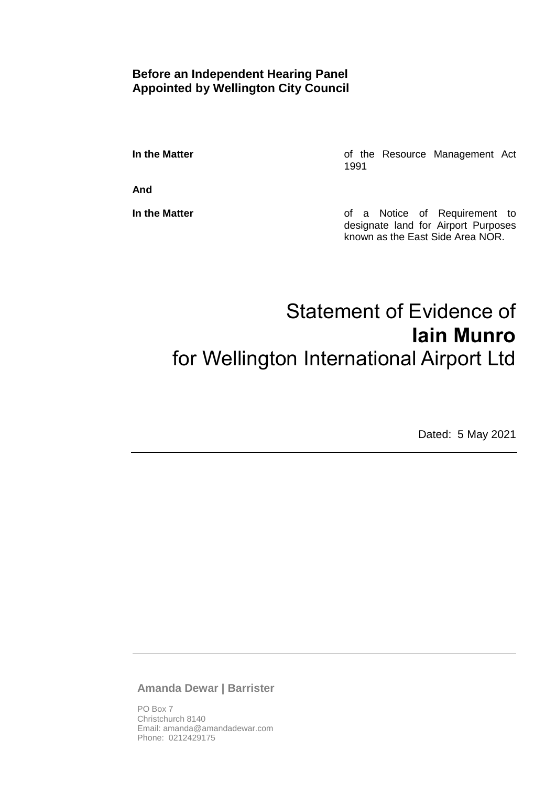### **Before an Independent Hearing Panel Appointed by Wellington City Council**

**In the Matter In the Matter of the Resource Management Act** 1991

**And**

**In the Matter In the Matter of a Notice of Requirement to** designate land for Airport Purposes known as the East Side Area NOR.

# Statement of Evidence of **Iain Munro** for Wellington International Airport Ltd

Dated: 5 May 2021

**Amanda Dewar | Barrister**

PO Box 7 Christchurch 8140 Email: amanda@amandadewar.com Phone: 0212429175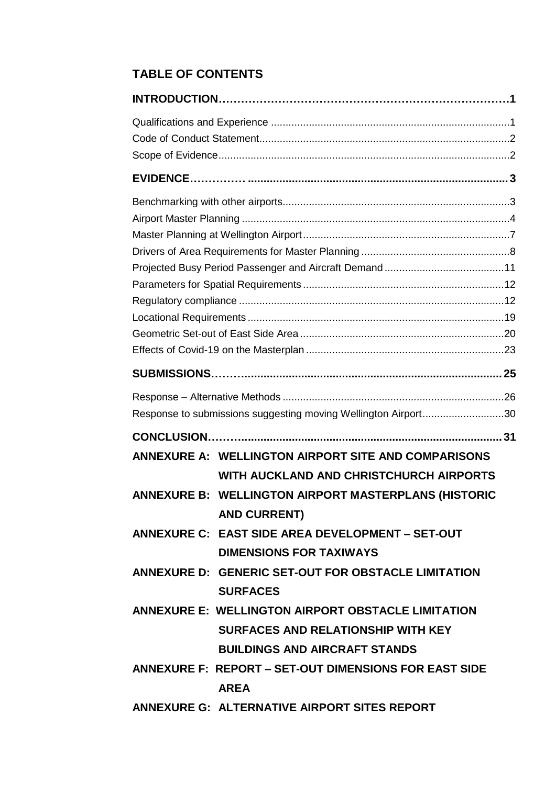# **TABLE OF CONTENTS**

|  | Response to submissions suggesting moving Wellington Airport30 |  |  |  |
|--|----------------------------------------------------------------|--|--|--|
|  |                                                                |  |  |  |
|  | <b>ANNEXURE A: WELLINGTON AIRPORT SITE AND COMPARISONS</b>     |  |  |  |
|  | WITH AUCKLAND AND CHRISTCHURCH AIRPORTS                        |  |  |  |
|  | ANNEXURE B: WELLINGTON AIRPORT MASTERPLANS (HISTORIC           |  |  |  |
|  | <b>AND CURRENT)</b>                                            |  |  |  |
|  | ANNEXURE C: EAST SIDE AREA DEVELOPMENT - SET-OUT               |  |  |  |
|  | <b>DIMENSIONS FOR TAXIWAYS</b>                                 |  |  |  |
|  | ANNEXURE D: GENERIC SET-OUT FOR OBSTACLE LIMITATION            |  |  |  |
|  | <b>SURFACES</b>                                                |  |  |  |
|  | <b>ANNEXURE E: WELLINGTON AIRPORT OBSTACLE LIMITATION</b>      |  |  |  |
|  | <b>SURFACES AND RELATIONSHIP WITH KEY</b>                      |  |  |  |
|  | <b>BUILDINGS AND AIRCRAFT STANDS</b>                           |  |  |  |
|  | <b>ANNEXURE F: REPORT - SET-OUT DIMENSIONS FOR EAST SIDE</b>   |  |  |  |
|  | <b>AREA</b>                                                    |  |  |  |
|  | ANNEXURE G: ALTERNATIVE AIRPORT SITES REPORT                   |  |  |  |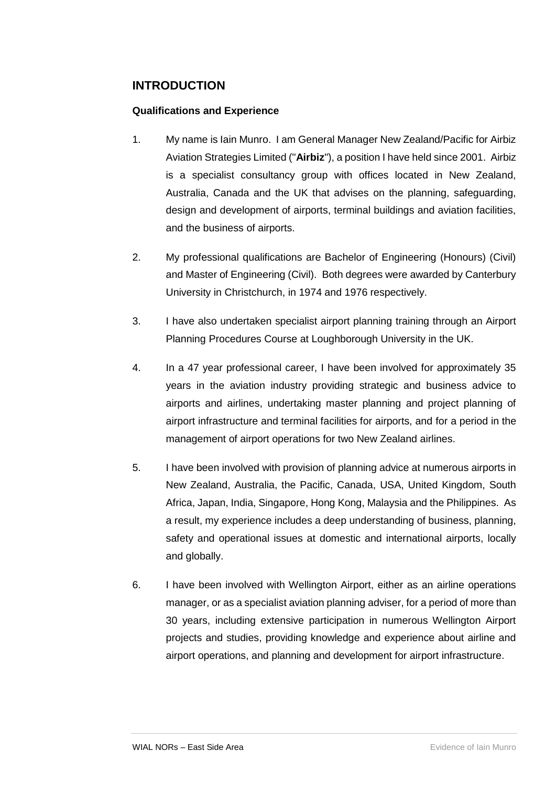### <span id="page-2-0"></span>**INTRODUCTION**

#### <span id="page-2-1"></span>**Qualifications and Experience**

- 1. My name is Iain Munro. I am General Manager New Zealand/Pacific for Airbiz Aviation Strategies Limited ("**Airbiz**"), a position I have held since 2001. Airbiz is a specialist consultancy group with offices located in New Zealand, Australia, Canada and the UK that advises on the planning, safeguarding, design and development of airports, terminal buildings and aviation facilities, and the business of airports.
- 2. My professional qualifications are Bachelor of Engineering (Honours) (Civil) and Master of Engineering (Civil). Both degrees were awarded by Canterbury University in Christchurch, in 1974 and 1976 respectively.
- 3. I have also undertaken specialist airport planning training through an Airport Planning Procedures Course at Loughborough University in the UK.
- 4. In a 47 year professional career, I have been involved for approximately 35 years in the aviation industry providing strategic and business advice to airports and airlines, undertaking master planning and project planning of airport infrastructure and terminal facilities for airports, and for a period in the management of airport operations for two New Zealand airlines.
- 5. I have been involved with provision of planning advice at numerous airports in New Zealand, Australia, the Pacific, Canada, USA, United Kingdom, South Africa, Japan, India, Singapore, Hong Kong, Malaysia and the Philippines. As a result, my experience includes a deep understanding of business, planning, safety and operational issues at domestic and international airports, locally and globally.
- 6. I have been involved with Wellington Airport, either as an airline operations manager, or as a specialist aviation planning adviser, for a period of more than 30 years, including extensive participation in numerous Wellington Airport projects and studies, providing knowledge and experience about airline and airport operations, and planning and development for airport infrastructure.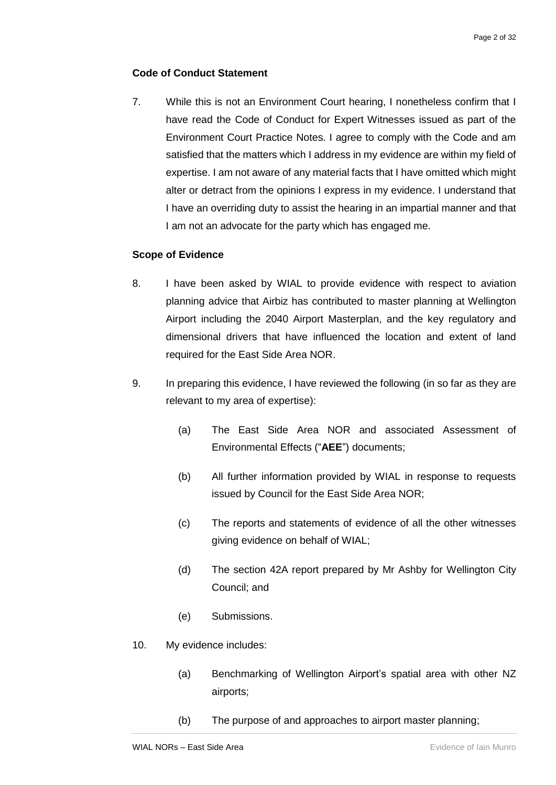#### <span id="page-3-0"></span>**Code of Conduct Statement**

7. While this is not an Environment Court hearing, I nonetheless confirm that I have read the Code of Conduct for Expert Witnesses issued as part of the Environment Court Practice Notes. I agree to comply with the Code and am satisfied that the matters which I address in my evidence are within my field of expertise. I am not aware of any material facts that I have omitted which might alter or detract from the opinions I express in my evidence. I understand that I have an overriding duty to assist the hearing in an impartial manner and that I am not an advocate for the party which has engaged me.

#### <span id="page-3-1"></span>**Scope of Evidence**

- 8. I have been asked by WIAL to provide evidence with respect to aviation planning advice that Airbiz has contributed to master planning at Wellington Airport including the 2040 Airport Masterplan, and the key regulatory and dimensional drivers that have influenced the location and extent of land required for the East Side Area NOR.
- 9. In preparing this evidence, I have reviewed the following (in so far as they are relevant to my area of expertise):
	- (a) The East Side Area NOR and associated Assessment of Environmental Effects ("**AEE**") documents;
	- (b) All further information provided by WIAL in response to requests issued by Council for the East Side Area NOR;
	- (c) The reports and statements of evidence of all the other witnesses giving evidence on behalf of WIAL;
	- (d) The section 42A report prepared by Mr Ashby for Wellington City Council; and
	- (e) Submissions.
- 10. My evidence includes:
	- (a) Benchmarking of Wellington Airport's spatial area with other NZ airports;
	- (b) The purpose of and approaches to airport master planning;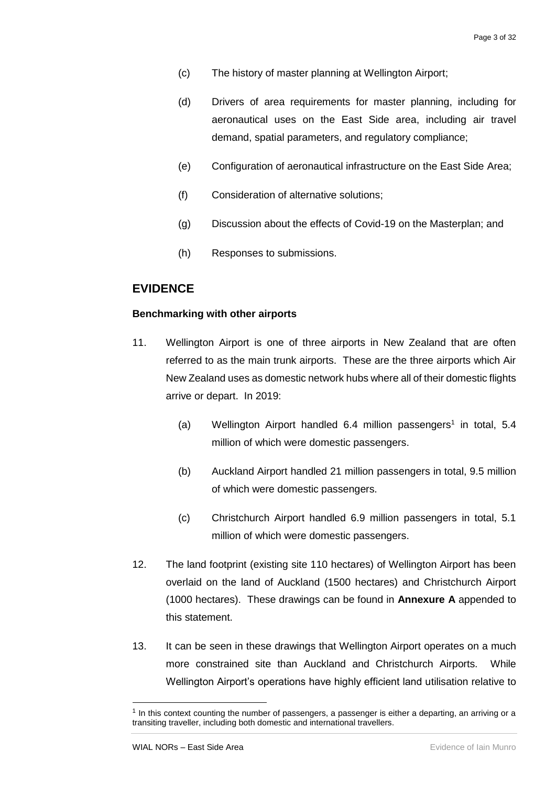- (c) The history of master planning at Wellington Airport;
- (d) Drivers of area requirements for master planning, including for aeronautical uses on the East Side area, including air travel demand, spatial parameters, and regulatory compliance;
- (e) Configuration of aeronautical infrastructure on the East Side Area;
- (f) Consideration of alternative solutions;
- (g) Discussion about the effects of Covid-19 on the Masterplan; and
- (h) Responses to submissions.

#### <span id="page-4-0"></span>**EVIDENCE**

#### <span id="page-4-1"></span>**Benchmarking with other airports**

- 11. Wellington Airport is one of three airports in New Zealand that are often referred to as the main trunk airports. These are the three airports which Air New Zealand uses as domestic network hubs where all of their domestic flights arrive or depart. In 2019:
	- $(a)$  Wellington Airport handled 6.4 million passengers<sup>1</sup> in total, 5.4 million of which were domestic passengers.
	- (b) Auckland Airport handled 21 million passengers in total, 9.5 million of which were domestic passengers.
	- (c) Christchurch Airport handled 6.9 million passengers in total, 5.1 million of which were domestic passengers.
- 12. The land footprint (existing site 110 hectares) of Wellington Airport has been overlaid on the land of Auckland (1500 hectares) and Christchurch Airport (1000 hectares). These drawings can be found in **Annexure A** appended to this statement.
- 13. It can be seen in these drawings that Wellington Airport operates on a much more constrained site than Auckland and Christchurch Airports. While Wellington Airport's operations have highly efficient land utilisation relative to

1

<sup>1</sup> In this context counting the number of passengers, a passenger is either a departing, an arriving or a transiting traveller, including both domestic and international travellers.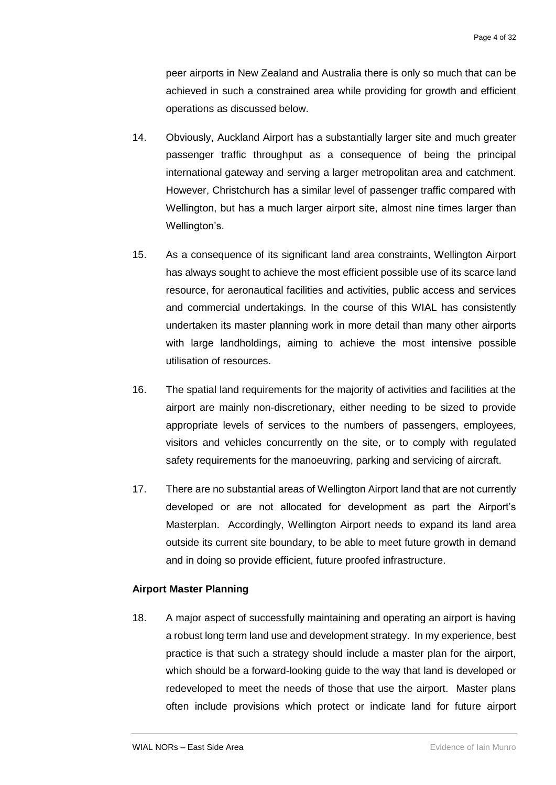peer airports in New Zealand and Australia there is only so much that can be achieved in such a constrained area while providing for growth and efficient operations as discussed below.

- 14. Obviously, Auckland Airport has a substantially larger site and much greater passenger traffic throughput as a consequence of being the principal international gateway and serving a larger metropolitan area and catchment. However, Christchurch has a similar level of passenger traffic compared with Wellington, but has a much larger airport site, almost nine times larger than Wellington's.
- 15. As a consequence of its significant land area constraints, Wellington Airport has always sought to achieve the most efficient possible use of its scarce land resource, for aeronautical facilities and activities, public access and services and commercial undertakings. In the course of this WIAL has consistently undertaken its master planning work in more detail than many other airports with large landholdings, aiming to achieve the most intensive possible utilisation of resources.
- 16. The spatial land requirements for the majority of activities and facilities at the airport are mainly non-discretionary, either needing to be sized to provide appropriate levels of services to the numbers of passengers, employees, visitors and vehicles concurrently on the site, or to comply with regulated safety requirements for the manoeuvring, parking and servicing of aircraft.
- 17. There are no substantial areas of Wellington Airport land that are not currently developed or are not allocated for development as part the Airport's Masterplan. Accordingly, Wellington Airport needs to expand its land area outside its current site boundary, to be able to meet future growth in demand and in doing so provide efficient, future proofed infrastructure.

#### <span id="page-5-0"></span>**Airport Master Planning**

18. A major aspect of successfully maintaining and operating an airport is having a robust long term land use and development strategy. In my experience, best practice is that such a strategy should include a master plan for the airport, which should be a forward-looking guide to the way that land is developed or redeveloped to meet the needs of those that use the airport. Master plans often include provisions which protect or indicate land for future airport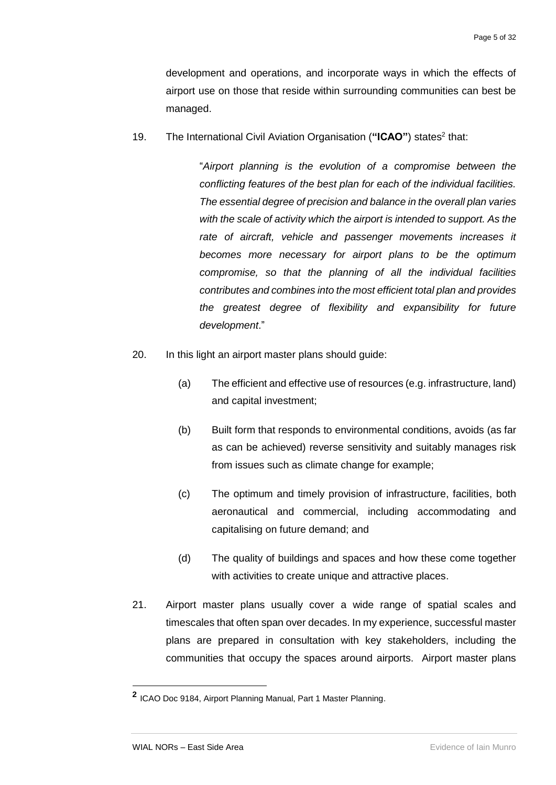development and operations, and incorporate ways in which the effects of airport use on those that reside within surrounding communities can best be managed.

19. The International Civil Aviation Organisation ("ICAO") states<sup>2</sup> that:

"*Airport planning is the evolution of a compromise between the conflicting features of the best plan for each of the individual facilities. The essential degree of precision and balance in the overall plan varies with the scale of activity which the airport is intended to support. As the rate of aircraft, vehicle and passenger movements increases it becomes more necessary for airport plans to be the optimum compromise, so that the planning of all the individual facilities contributes and combines into the most efficient total plan and provides the greatest degree of flexibility and expansibility for future development*."

- 20. In this light an airport master plans should guide:
	- (a) The efficient and effective use of resources (e.g. infrastructure, land) and capital investment;
	- (b) Built form that responds to environmental conditions, avoids (as far as can be achieved) reverse sensitivity and suitably manages risk from issues such as climate change for example;
	- (c) The optimum and timely provision of infrastructure, facilities, both aeronautical and commercial, including accommodating and capitalising on future demand; and
	- (d) The quality of buildings and spaces and how these come together with activities to create unique and attractive places.
- 21. Airport master plans usually cover a wide range of spatial scales and timescales that often span over decades. In my experience, successful master plans are prepared in consultation with key stakeholders, including the communities that occupy the spaces around airports. Airport master plans

-

**<sup>2</sup>** ICAO Doc 9184, Airport Planning Manual, Part 1 Master Planning.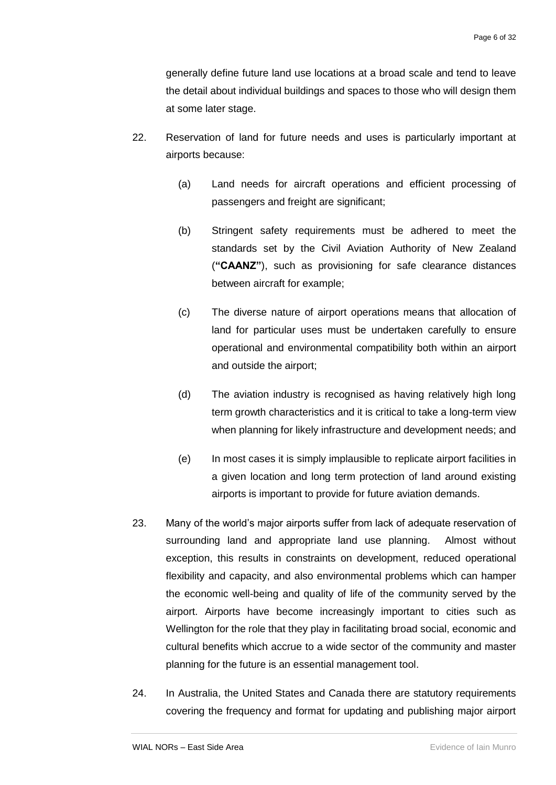generally define future land use locations at a broad scale and tend to leave the detail about individual buildings and spaces to those who will design them at some later stage.

- 22. Reservation of land for future needs and uses is particularly important at airports because:
	- (a) Land needs for aircraft operations and efficient processing of passengers and freight are significant;
	- (b) Stringent safety requirements must be adhered to meet the standards set by the Civil Aviation Authority of New Zealand (**"CAANZ"**), such as provisioning for safe clearance distances between aircraft for example;
	- (c) The diverse nature of airport operations means that allocation of land for particular uses must be undertaken carefully to ensure operational and environmental compatibility both within an airport and outside the airport;
	- (d) The aviation industry is recognised as having relatively high long term growth characteristics and it is critical to take a long-term view when planning for likely infrastructure and development needs; and
	- (e) In most cases it is simply implausible to replicate airport facilities in a given location and long term protection of land around existing airports is important to provide for future aviation demands.
- 23. Many of the world's major airports suffer from lack of adequate reservation of surrounding land and appropriate land use planning. Almost without exception, this results in constraints on development, reduced operational flexibility and capacity, and also environmental problems which can hamper the economic well-being and quality of life of the community served by the airport. Airports have become increasingly important to cities such as Wellington for the role that they play in facilitating broad social, economic and cultural benefits which accrue to a wide sector of the community and master planning for the future is an essential management tool.
- 24. In Australia, the United States and Canada there are statutory requirements covering the frequency and format for updating and publishing major airport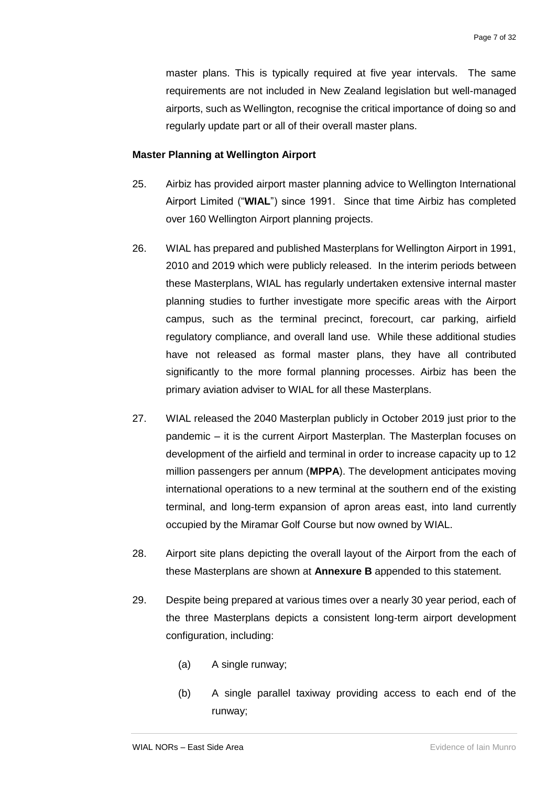master plans. This is typically required at five year intervals. The same requirements are not included in New Zealand legislation but well-managed airports, such as Wellington, recognise the critical importance of doing so and regularly update part or all of their overall master plans.

#### <span id="page-8-0"></span>**Master Planning at Wellington Airport**

- 25. Airbiz has provided airport master planning advice to Wellington International Airport Limited ("**WIAL**") since 1991. Since that time Airbiz has completed over 160 Wellington Airport planning projects.
- 26. WIAL has prepared and published Masterplans for Wellington Airport in 1991, 2010 and 2019 which were publicly released. In the interim periods between these Masterplans, WIAL has regularly undertaken extensive internal master planning studies to further investigate more specific areas with the Airport campus, such as the terminal precinct, forecourt, car parking, airfield regulatory compliance, and overall land use. While these additional studies have not released as formal master plans, they have all contributed significantly to the more formal planning processes. Airbiz has been the primary aviation adviser to WIAL for all these Masterplans.
- 27. WIAL released the 2040 Masterplan publicly in October 2019 just prior to the pandemic – it is the current Airport Masterplan. The Masterplan focuses on development of the airfield and terminal in order to increase capacity up to 12 million passengers per annum (**MPPA**). The development anticipates moving international operations to a new terminal at the southern end of the existing terminal, and long-term expansion of apron areas east, into land currently occupied by the Miramar Golf Course but now owned by WIAL.
- 28. Airport site plans depicting the overall layout of the Airport from the each of these Masterplans are shown at **Annexure B** appended to this statement.
- 29. Despite being prepared at various times over a nearly 30 year period, each of the three Masterplans depicts a consistent long-term airport development configuration, including:
	- (a) A single runway;
	- (b) A single parallel taxiway providing access to each end of the runway;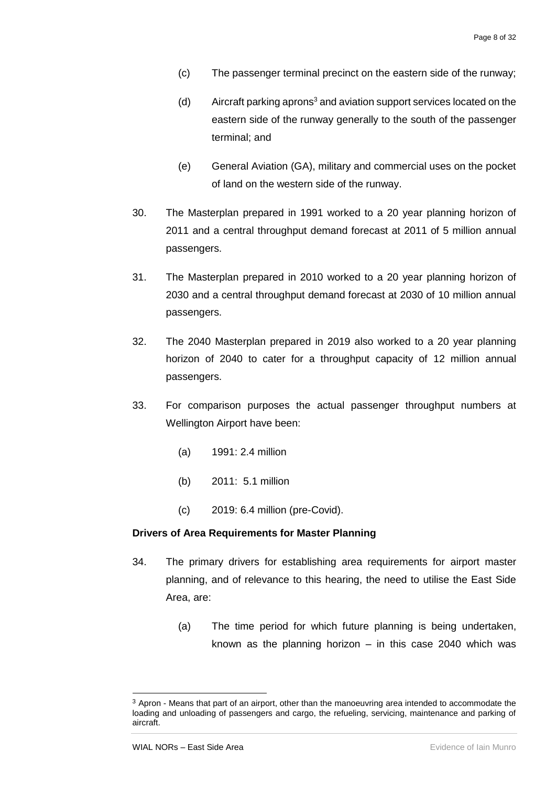- (c) The passenger terminal precinct on the eastern side of the runway;
- (d) Aircraft parking aprons<sup>3</sup> and aviation support services located on the eastern side of the runway generally to the south of the passenger terminal; and
- (e) General Aviation (GA), military and commercial uses on the pocket of land on the western side of the runway.
- 30. The Masterplan prepared in 1991 worked to a 20 year planning horizon of 2011 and a central throughput demand forecast at 2011 of 5 million annual passengers.
- 31. The Masterplan prepared in 2010 worked to a 20 year planning horizon of 2030 and a central throughput demand forecast at 2030 of 10 million annual passengers.
- 32. The 2040 Masterplan prepared in 2019 also worked to a 20 year planning horizon of 2040 to cater for a throughput capacity of 12 million annual passengers.
- 33. For comparison purposes the actual passenger throughput numbers at Wellington Airport have been:
	- (a) 1991: 2.4 million
	- (b) 2011: 5.1 million
	- (c) 2019: 6.4 million (pre-Covid).

#### <span id="page-9-0"></span>**Drivers of Area Requirements for Master Planning**

- 34. The primary drivers for establishing area requirements for airport master planning, and of relevance to this hearing, the need to utilise the East Side Area, are:
	- (a) The time period for which future planning is being undertaken, known as the planning horizon – in this case 2040 which was

-

 $3$  Apron - Means that part of an airport, other than the manoeuvring area intended to accommodate the loading and unloading of passengers and cargo, the refueling, servicing, maintenance and parking of aircraft.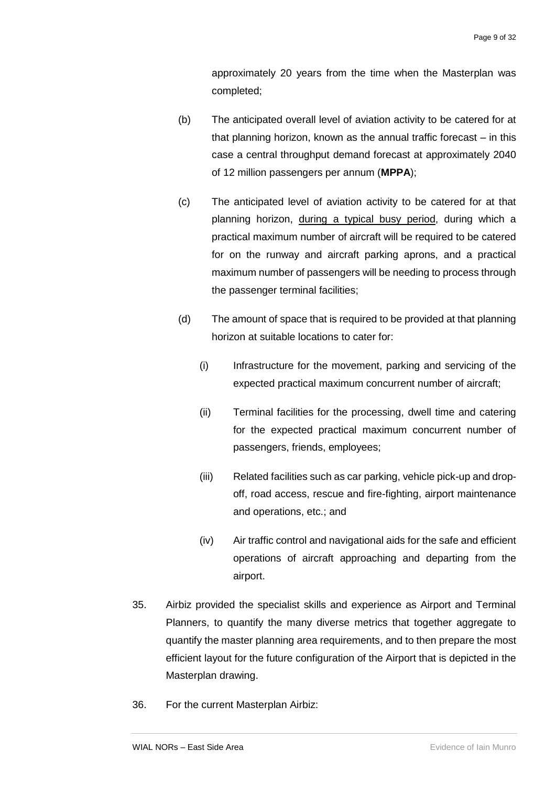approximately 20 years from the time when the Masterplan was completed;

- (b) The anticipated overall level of aviation activity to be catered for at that planning horizon, known as the annual traffic forecast – in this case a central throughput demand forecast at approximately 2040 of 12 million passengers per annum (**MPPA**);
- (c) The anticipated level of aviation activity to be catered for at that planning horizon, during a typical busy period, during which a practical maximum number of aircraft will be required to be catered for on the runway and aircraft parking aprons, and a practical maximum number of passengers will be needing to process through the passenger terminal facilities;
- (d) The amount of space that is required to be provided at that planning horizon at suitable locations to cater for:
	- (i) Infrastructure for the movement, parking and servicing of the expected practical maximum concurrent number of aircraft;
	- (ii) Terminal facilities for the processing, dwell time and catering for the expected practical maximum concurrent number of passengers, friends, employees;
	- (iii) Related facilities such as car parking, vehicle pick-up and dropoff, road access, rescue and fire-fighting, airport maintenance and operations, etc.; and
	- (iv) Air traffic control and navigational aids for the safe and efficient operations of aircraft approaching and departing from the airport.
- 35. Airbiz provided the specialist skills and experience as Airport and Terminal Planners, to quantify the many diverse metrics that together aggregate to quantify the master planning area requirements, and to then prepare the most efficient layout for the future configuration of the Airport that is depicted in the Masterplan drawing.
- 36. For the current Masterplan Airbiz: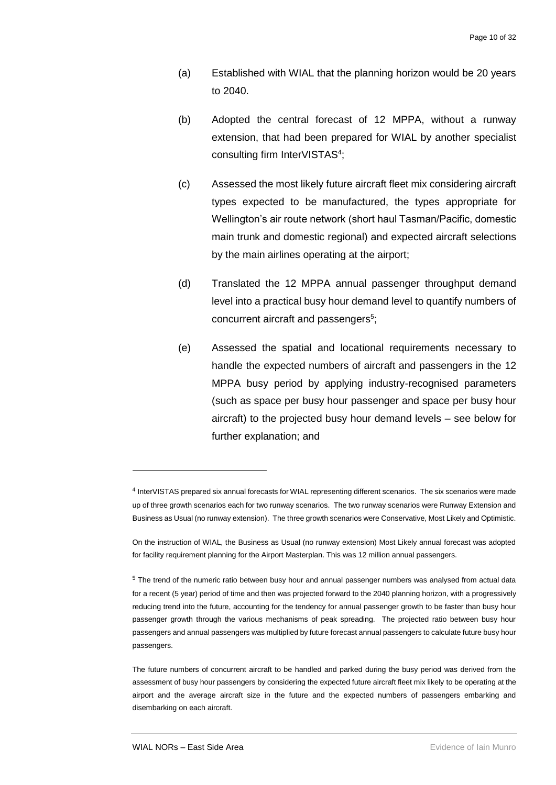- (a) Established with WIAL that the planning horizon would be 20 years to 2040.
- (b) Adopted the central forecast of 12 MPPA, without a runway extension, that had been prepared for WIAL by another specialist consulting firm InterVISTAS<sup>4</sup>;
- (c) Assessed the most likely future aircraft fleet mix considering aircraft types expected to be manufactured, the types appropriate for Wellington's air route network (short haul Tasman/Pacific, domestic main trunk and domestic regional) and expected aircraft selections by the main airlines operating at the airport;
- (d) Translated the 12 MPPA annual passenger throughput demand level into a practical busy hour demand level to quantify numbers of concurrent aircraft and passengers<sup>5</sup>;
- (e) Assessed the spatial and locational requirements necessary to handle the expected numbers of aircraft and passengers in the 12 MPPA busy period by applying industry-recognised parameters (such as space per busy hour passenger and space per busy hour aircraft) to the projected busy hour demand levels – see below for further explanation; and

1

<sup>4</sup> InterVISTAS prepared six annual forecasts for WIAL representing different scenarios. The six scenarios were made up of three growth scenarios each for two runway scenarios. The two runway scenarios were Runway Extension and Business as Usual (no runway extension). The three growth scenarios were Conservative, Most Likely and Optimistic.

On the instruction of WIAL, the Business as Usual (no runway extension) Most Likely annual forecast was adopted for facility requirement planning for the Airport Masterplan. This was 12 million annual passengers.

<sup>5</sup> The trend of the numeric ratio between busy hour and annual passenger numbers was analysed from actual data for a recent (5 year) period of time and then was projected forward to the 2040 planning horizon, with a progressively reducing trend into the future, accounting for the tendency for annual passenger growth to be faster than busy hour passenger growth through the various mechanisms of peak spreading. The projected ratio between busy hour passengers and annual passengers was multiplied by future forecast annual passengers to calculate future busy hour passengers.

The future numbers of concurrent aircraft to be handled and parked during the busy period was derived from the assessment of busy hour passengers by considering the expected future aircraft fleet mix likely to be operating at the airport and the average aircraft size in the future and the expected numbers of passengers embarking and disembarking on each aircraft.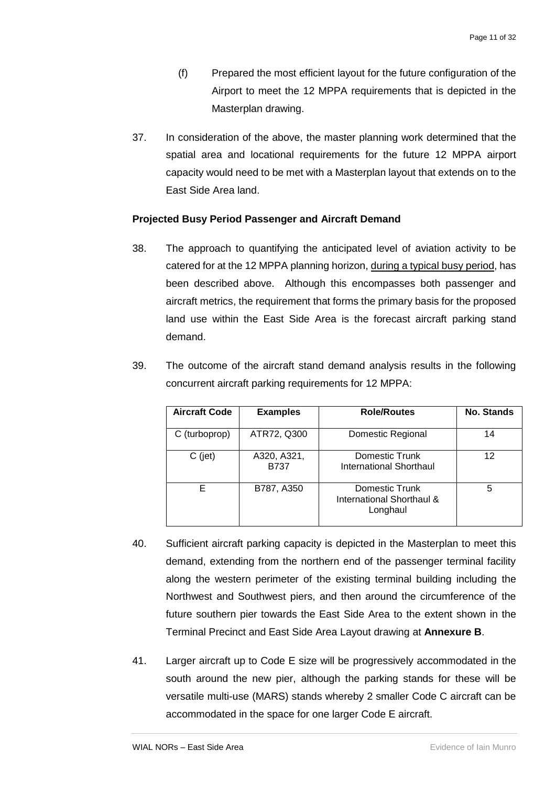- (f) Prepared the most efficient layout for the future configuration of the Airport to meet the 12 MPPA requirements that is depicted in the Masterplan drawing.
- 37. In consideration of the above, the master planning work determined that the spatial area and locational requirements for the future 12 MPPA airport capacity would need to be met with a Masterplan layout that extends on to the East Side Area land.

#### <span id="page-12-0"></span>**Projected Busy Period Passenger and Aircraft Demand**

38. The approach to quantifying the anticipated level of aviation activity to be catered for at the 12 MPPA planning horizon, during a typical busy period, has been described above. Although this encompasses both passenger and aircraft metrics, the requirement that forms the primary basis for the proposed land use within the East Side Area is the forecast aircraft parking stand demand.

| <b>Aircraft Code</b> | <b>Examples</b>     | <b>Role/Routes</b>                                      | <b>No. Stands</b> |
|----------------------|---------------------|---------------------------------------------------------|-------------------|
| C (turboprop)        | ATR72, Q300         | Domestic Regional                                       | 14                |
| $C$ (jet)            | A320, A321,<br>B737 | Domestic Trunk<br><b>International Shorthaul</b>        | 12                |
|                      | B787, A350          | Domestic Trunk<br>International Shorthaul &<br>Longhaul | 5                 |

39. The outcome of the aircraft stand demand analysis results in the following concurrent aircraft parking requirements for 12 MPPA:

- 40. Sufficient aircraft parking capacity is depicted in the Masterplan to meet this demand, extending from the northern end of the passenger terminal facility along the western perimeter of the existing terminal building including the Northwest and Southwest piers, and then around the circumference of the future southern pier towards the East Side Area to the extent shown in the Terminal Precinct and East Side Area Layout drawing at **Annexure B**.
- 41. Larger aircraft up to Code E size will be progressively accommodated in the south around the new pier, although the parking stands for these will be versatile multi-use (MARS) stands whereby 2 smaller Code C aircraft can be accommodated in the space for one larger Code E aircraft.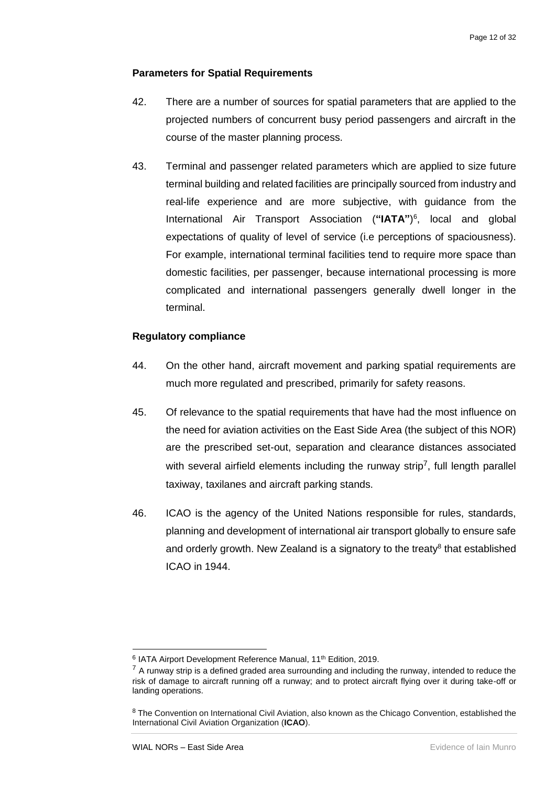#### <span id="page-13-0"></span>**Parameters for Spatial Requirements**

- 42. There are a number of sources for spatial parameters that are applied to the projected numbers of concurrent busy period passengers and aircraft in the course of the master planning process.
- 43. Terminal and passenger related parameters which are applied to size future terminal building and related facilities are principally sourced from industry and real-life experience and are more subjective, with guidance from the International Air Transport Association (**"IATA"**) 6 , local and global expectations of quality of level of service (i.e perceptions of spaciousness). For example, international terminal facilities tend to require more space than domestic facilities, per passenger, because international processing is more complicated and international passengers generally dwell longer in the terminal.

#### <span id="page-13-1"></span>**Regulatory compliance**

- 44. On the other hand, aircraft movement and parking spatial requirements are much more regulated and prescribed, primarily for safety reasons.
- 45. Of relevance to the spatial requirements that have had the most influence on the need for aviation activities on the East Side Area (the subject of this NOR) are the prescribed set-out, separation and clearance distances associated with several airfield elements including the runway strip<sup>7</sup>, full length parallel taxiway, taxilanes and aircraft parking stands.
- 46. ICAO is the agency of the United Nations responsible for rules, standards, planning and development of international air transport globally to ensure safe and orderly growth. New Zealand is a signatory to the treaty<sup>8</sup> that established ICAO in 1944.

-

<sup>&</sup>lt;sup>6</sup> IATA Airport Development Reference Manual, 11<sup>th</sup> Edition, 2019.

 $<sup>7</sup>$  A runway strip is a defined graded area surrounding and including the runway, intended to reduce the</sup> risk of damage to aircraft running off a runway; and to protect aircraft flying over it during take-off or landing operations.

<sup>8</sup> The Convention on International Civil Aviation, also known as the Chicago Convention, established the International Civil Aviation Organization (**ICAO**).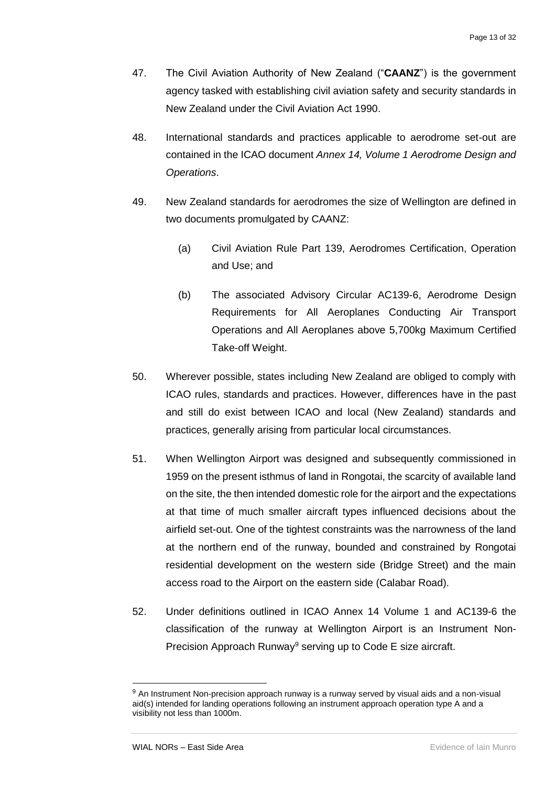- 47. The Civil Aviation Authority of New Zealand ("**CAANZ**") is the government agency tasked with establishing civil aviation safety and security standards in New Zealand under the Civil Aviation Act 1990.
- 48. International standards and practices applicable to aerodrome set-out are contained in the ICAO document *Annex 14, Volume 1 Aerodrome Design and Operations*.
- 49. New Zealand standards for aerodromes the size of Wellington are defined in two documents promulgated by CAANZ:
	- (a) Civil Aviation Rule Part 139, Aerodromes Certification, Operation and Use; and
	- (b) The associated Advisory Circular AC139-6, Aerodrome Design Requirements for All Aeroplanes Conducting Air Transport Operations and All Aeroplanes above 5,700kg Maximum Certified Take-off Weight.
- 50. Wherever possible, states including New Zealand are obliged to comply with ICAO rules, standards and practices. However, differences have in the past and still do exist between ICAO and local (New Zealand) standards and practices, generally arising from particular local circumstances.
- 51. When Wellington Airport was designed and subsequently commissioned in 1959 on the present isthmus of land in Rongotai, the scarcity of available land on the site, the then intended domestic role for the airport and the expectations at that time of much smaller aircraft types influenced decisions about the airfield set-out. One of the tightest constraints was the narrowness of the land at the northern end of the runway, bounded and constrained by Rongotai residential development on the western side (Bridge Street) and the main access road to the Airport on the eastern side (Calabar Road).
- 52. Under definitions outlined in ICAO Annex 14 Volume 1 and AC139-6 the classification of the runway at Wellington Airport is an Instrument Non-Precision Approach Runway<sup>9</sup> serving up to Code E size aircraft.

1

<sup>9</sup> An Instrument Non-precision approach runway is a runway served by visual aids and a non-visual aid(s) intended for landing operations following an instrument approach operation type A and a visibility not less than 1000m.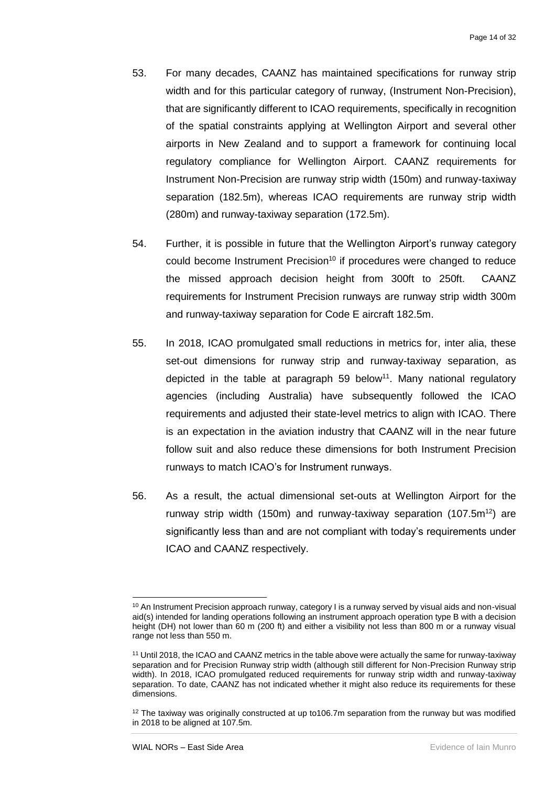- 53. For many decades, CAANZ has maintained specifications for runway strip width and for this particular category of runway, (Instrument Non-Precision), that are significantly different to ICAO requirements, specifically in recognition of the spatial constraints applying at Wellington Airport and several other airports in New Zealand and to support a framework for continuing local regulatory compliance for Wellington Airport. CAANZ requirements for Instrument Non-Precision are runway strip width (150m) and runway-taxiway separation (182.5m), whereas ICAO requirements are runway strip width (280m) and runway-taxiway separation (172.5m).
- 54. Further, it is possible in future that the Wellington Airport's runway category could become Instrument Precision<sup>10</sup> if procedures were changed to reduce the missed approach decision height from 300ft to 250ft. CAANZ requirements for Instrument Precision runways are runway strip width 300m and runway-taxiway separation for Code E aircraft 182.5m.
- 55. In 2018, ICAO promulgated small reductions in metrics for, inter alia, these set-out dimensions for runway strip and runway-taxiway separation, as depicted in the table at paragraph 59 below<sup>11</sup>. Many national regulatory agencies (including Australia) have subsequently followed the ICAO requirements and adjusted their state-level metrics to align with ICAO. There is an expectation in the aviation industry that CAANZ will in the near future follow suit and also reduce these dimensions for both Instrument Precision runways to match ICAO's for Instrument runways.
- 56. As a result, the actual dimensional set-outs at Wellington Airport for the runway strip width (150m) and runway-taxiway separation (107.5 $m^{12}$ ) are significantly less than and are not compliant with today's requirements under ICAO and CAANZ respectively.

-

<sup>&</sup>lt;sup>10</sup> An Instrument Precision approach runway, category I is a runway served by visual aids and non-visual aid(s) intended for landing operations following an instrument approach operation type B with a decision height (DH) not lower than 60 m (200 ft) and either a visibility not less than 800 m or a runway visual range not less than 550 m.

<sup>11</sup> Until 2018, the ICAO and CAANZ metrics in the table above were actually the same for runway-taxiway separation and for Precision Runway strip width (although still different for Non-Precision Runway strip width). In 2018, ICAO promulgated reduced requirements for runway strip width and runway-taxiway separation. To date, CAANZ has not indicated whether it might also reduce its requirements for these dimensions.

<sup>&</sup>lt;sup>12</sup> The taxiway was originally constructed at up to106.7m separation from the runway but was modified in 2018 to be aligned at 107.5m.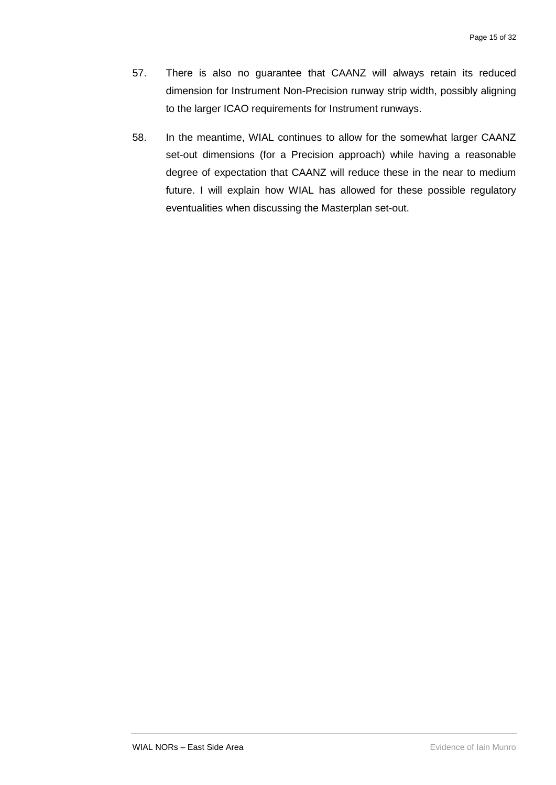- 57. There is also no guarantee that CAANZ will always retain its reduced dimension for Instrument Non-Precision runway strip width, possibly aligning to the larger ICAO requirements for Instrument runways.
- 58. In the meantime, WIAL continues to allow for the somewhat larger CAANZ set-out dimensions (for a Precision approach) while having a reasonable degree of expectation that CAANZ will reduce these in the near to medium future. I will explain how WIAL has allowed for these possible regulatory eventualities when discussing the Masterplan set-out.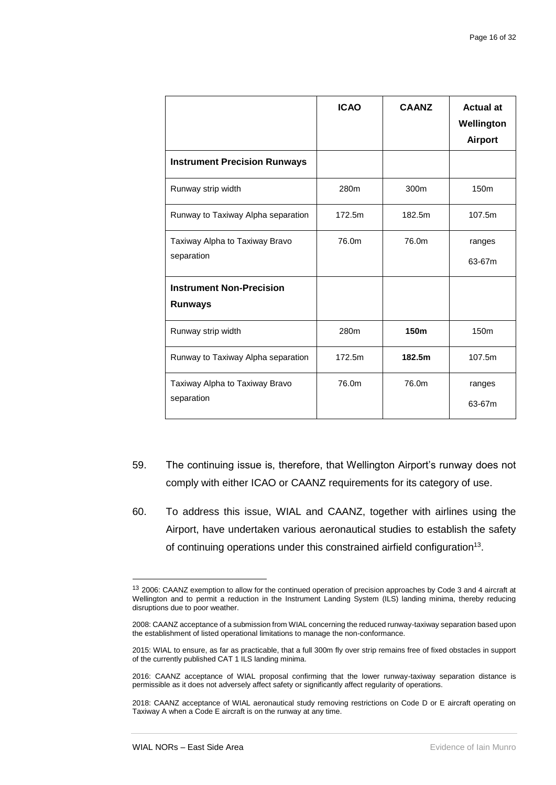|                                                   | <b>ICAO</b> | <b>CAANZ</b>     | <b>Actual at</b><br>Wellington<br><b>Airport</b> |
|---------------------------------------------------|-------------|------------------|--------------------------------------------------|
| <b>Instrument Precision Runways</b>               |             |                  |                                                  |
| Runway strip width                                | 280m        | 300m             | 150m                                             |
| Runway to Taxiway Alpha separation                | 172.5m      | 182.5m           | 107.5m                                           |
| Taxiway Alpha to Taxiway Bravo<br>separation      | 76.0m       | 76.0m            | ranges<br>63-67m                                 |
| <b>Instrument Non-Precision</b><br><b>Runways</b> |             |                  |                                                  |
| Runway strip width                                | 280m        | 150 <sub>m</sub> | 150 <sub>m</sub>                                 |
| Runway to Taxiway Alpha separation                | 172.5m      | 182.5m           | 107.5m                                           |
| Taxiway Alpha to Taxiway Bravo<br>separation      | 76.0m       | 76.0m            | ranges<br>63-67m                                 |

- 59. The continuing issue is, therefore, that Wellington Airport's runway does not comply with either ICAO or CAANZ requirements for its category of use.
- 60. To address this issue, WIAL and CAANZ, together with airlines using the Airport, have undertaken various aeronautical studies to establish the safety of continuing operations under this constrained airfield configuration<sup>13</sup>.

1

<sup>13</sup> 2006: CAANZ exemption to allow for the continued operation of precision approaches by Code 3 and 4 aircraft at Wellington and to permit a reduction in the Instrument Landing System (ILS) landing minima, thereby reducing disruptions due to poor weather.

<sup>2008:</sup> CAANZ acceptance of a submission from WIAL concerning the reduced runway-taxiway separation based upon the establishment of listed operational limitations to manage the non-conformance.

<sup>2015:</sup> WIAL to ensure, as far as practicable, that a full 300m fly over strip remains free of fixed obstacles in support of the currently published CAT 1 ILS landing minima.

<sup>2016:</sup> CAANZ acceptance of WIAL proposal confirming that the lower runway-taxiway separation distance is permissible as it does not adversely affect safety or significantly affect regularity of operations.

<sup>2018:</sup> CAANZ acceptance of WIAL aeronautical study removing restrictions on Code D or E aircraft operating on Taxiway A when a Code E aircraft is on the runway at any time.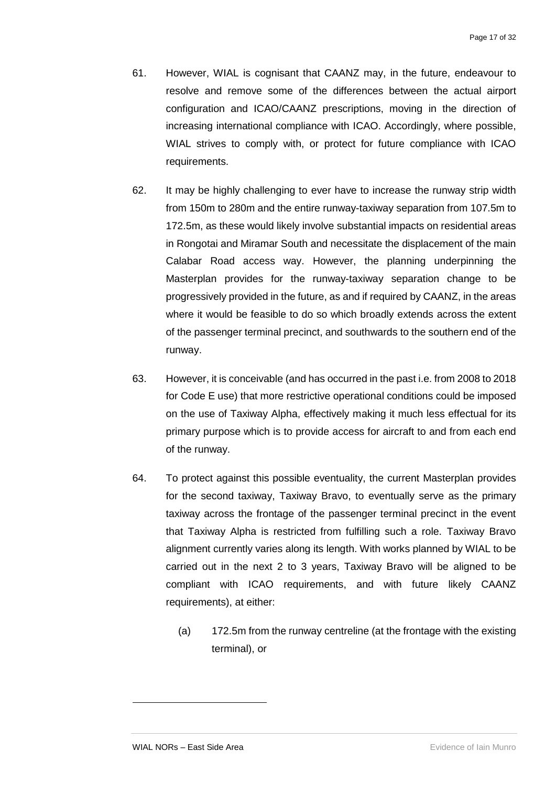- 61. However, WIAL is cognisant that CAANZ may, in the future, endeavour to resolve and remove some of the differences between the actual airport configuration and ICAO/CAANZ prescriptions, moving in the direction of increasing international compliance with ICAO. Accordingly, where possible, WIAL strives to comply with, or protect for future compliance with ICAO requirements.
- 62. It may be highly challenging to ever have to increase the runway strip width from 150m to 280m and the entire runway-taxiway separation from 107.5m to 172.5m, as these would likely involve substantial impacts on residential areas in Rongotai and Miramar South and necessitate the displacement of the main Calabar Road access way. However, the planning underpinning the Masterplan provides for the runway-taxiway separation change to be progressively provided in the future, as and if required by CAANZ, in the areas where it would be feasible to do so which broadly extends across the extent of the passenger terminal precinct, and southwards to the southern end of the runway.
- 63. However, it is conceivable (and has occurred in the past i.e. from 2008 to 2018 for Code E use) that more restrictive operational conditions could be imposed on the use of Taxiway Alpha, effectively making it much less effectual for its primary purpose which is to provide access for aircraft to and from each end of the runway.
- 64. To protect against this possible eventuality, the current Masterplan provides for the second taxiway, Taxiway Bravo, to eventually serve as the primary taxiway across the frontage of the passenger terminal precinct in the event that Taxiway Alpha is restricted from fulfilling such a role. Taxiway Bravo alignment currently varies along its length. With works planned by WIAL to be carried out in the next 2 to 3 years, Taxiway Bravo will be aligned to be compliant with ICAO requirements, and with future likely CAANZ requirements), at either:
	- (a) 172.5m from the runway centreline (at the frontage with the existing terminal), or

1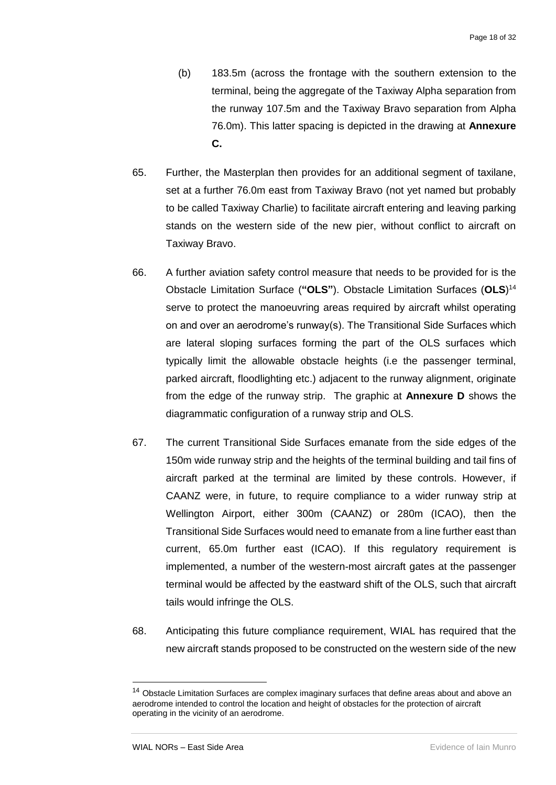- (b) 183.5m (across the frontage with the southern extension to the terminal, being the aggregate of the Taxiway Alpha separation from the runway 107.5m and the Taxiway Bravo separation from Alpha 76.0m). This latter spacing is depicted in the drawing at **Annexure C.**
- 65. Further, the Masterplan then provides for an additional segment of taxilane, set at a further 76.0m east from Taxiway Bravo (not yet named but probably to be called Taxiway Charlie) to facilitate aircraft entering and leaving parking stands on the western side of the new pier, without conflict to aircraft on Taxiway Bravo.
- 66. A further aviation safety control measure that needs to be provided for is the Obstacle Limitation Surface (**"OLS"**). Obstacle Limitation Surfaces (**OLS**) 14 serve to protect the manoeuvring areas required by aircraft whilst operating on and over an aerodrome's runway(s). The Transitional Side Surfaces which are lateral sloping surfaces forming the part of the OLS surfaces which typically limit the allowable obstacle heights (i.e the passenger terminal, parked aircraft, floodlighting etc.) adjacent to the runway alignment, originate from the edge of the runway strip. The graphic at **Annexure D** shows the diagrammatic configuration of a runway strip and OLS.
- 67. The current Transitional Side Surfaces emanate from the side edges of the 150m wide runway strip and the heights of the terminal building and tail fins of aircraft parked at the terminal are limited by these controls. However, if CAANZ were, in future, to require compliance to a wider runway strip at Wellington Airport, either 300m (CAANZ) or 280m (ICAO), then the Transitional Side Surfaces would need to emanate from a line further east than current, 65.0m further east (ICAO). If this regulatory requirement is implemented, a number of the western-most aircraft gates at the passenger terminal would be affected by the eastward shift of the OLS, such that aircraft tails would infringe the OLS.
- 68. Anticipating this future compliance requirement, WIAL has required that the new aircraft stands proposed to be constructed on the western side of the new

-

<sup>&</sup>lt;sup>14</sup> Obstacle Limitation Surfaces are complex imaginary surfaces that define areas about and above an aerodrome intended to control the location and height of obstacles for the protection of aircraft operating in the vicinity of an aerodrome.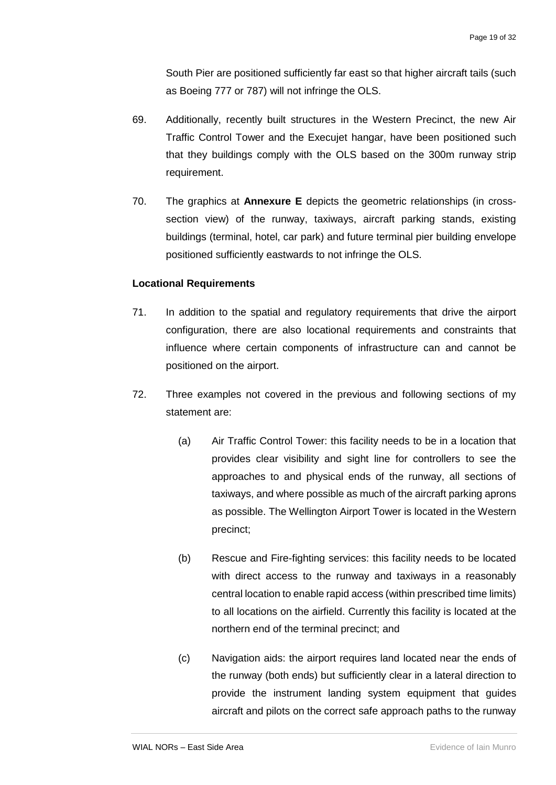South Pier are positioned sufficiently far east so that higher aircraft tails (such as Boeing 777 or 787) will not infringe the OLS.

- 69. Additionally, recently built structures in the Western Precinct, the new Air Traffic Control Tower and the Execujet hangar, have been positioned such that they buildings comply with the OLS based on the 300m runway strip requirement.
- 70. The graphics at **Annexure E** depicts the geometric relationships (in crosssection view) of the runway, taxiways, aircraft parking stands, existing buildings (terminal, hotel, car park) and future terminal pier building envelope positioned sufficiently eastwards to not infringe the OLS.

#### <span id="page-20-0"></span>**Locational Requirements**

- 71. In addition to the spatial and regulatory requirements that drive the airport configuration, there are also locational requirements and constraints that influence where certain components of infrastructure can and cannot be positioned on the airport.
- 72. Three examples not covered in the previous and following sections of my statement are:
	- (a) Air Traffic Control Tower: this facility needs to be in a location that provides clear visibility and sight line for controllers to see the approaches to and physical ends of the runway, all sections of taxiways, and where possible as much of the aircraft parking aprons as possible. The Wellington Airport Tower is located in the Western precinct;
	- (b) Rescue and Fire-fighting services: this facility needs to be located with direct access to the runway and taxiways in a reasonably central location to enable rapid access (within prescribed time limits) to all locations on the airfield. Currently this facility is located at the northern end of the terminal precinct; and
	- (c) Navigation aids: the airport requires land located near the ends of the runway (both ends) but sufficiently clear in a lateral direction to provide the instrument landing system equipment that guides aircraft and pilots on the correct safe approach paths to the runway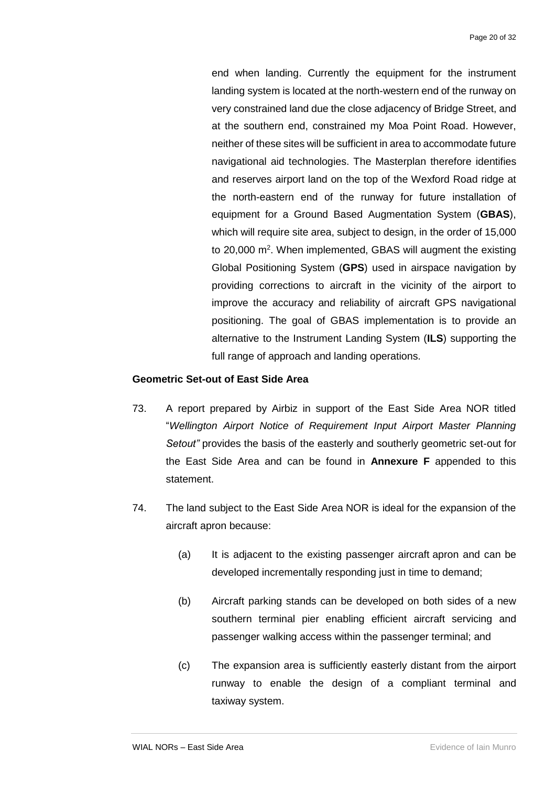end when landing. Currently the equipment for the instrument landing system is located at the north-western end of the runway on very constrained land due the close adjacency of Bridge Street, and at the southern end, constrained my Moa Point Road. However, neither of these sites will be sufficient in area to accommodate future navigational aid technologies. The Masterplan therefore identifies and reserves airport land on the top of the Wexford Road ridge at the north-eastern end of the runway for future installation of equipment for a Ground Based Augmentation System (**GBAS**), which will require site area, subject to design, in the order of 15,000 to 20,000 m<sup>2</sup>. When implemented, GBAS will augment the existing Global Positioning System (**GPS**) used in airspace navigation by providing corrections to aircraft in the vicinity of the airport to improve the accuracy and reliability of aircraft GPS navigational positioning. The goal of GBAS implementation is to provide an alternative to the Instrument Landing System (**ILS**) supporting the full range of approach and landing operations.

#### <span id="page-21-0"></span>**Geometric Set-out of East Side Area**

- 73. A report prepared by Airbiz in support of the East Side Area NOR titled "*Wellington Airport Notice of Requirement Input Airport Master Planning Setout"* provides the basis of the easterly and southerly geometric set-out for the East Side Area and can be found in **Annexure F** appended to this statement.
- 74. The land subject to the East Side Area NOR is ideal for the expansion of the aircraft apron because:
	- (a) It is adjacent to the existing passenger aircraft apron and can be developed incrementally responding just in time to demand;
	- (b) Aircraft parking stands can be developed on both sides of a new southern terminal pier enabling efficient aircraft servicing and passenger walking access within the passenger terminal; and
	- (c) The expansion area is sufficiently easterly distant from the airport runway to enable the design of a compliant terminal and taxiway system.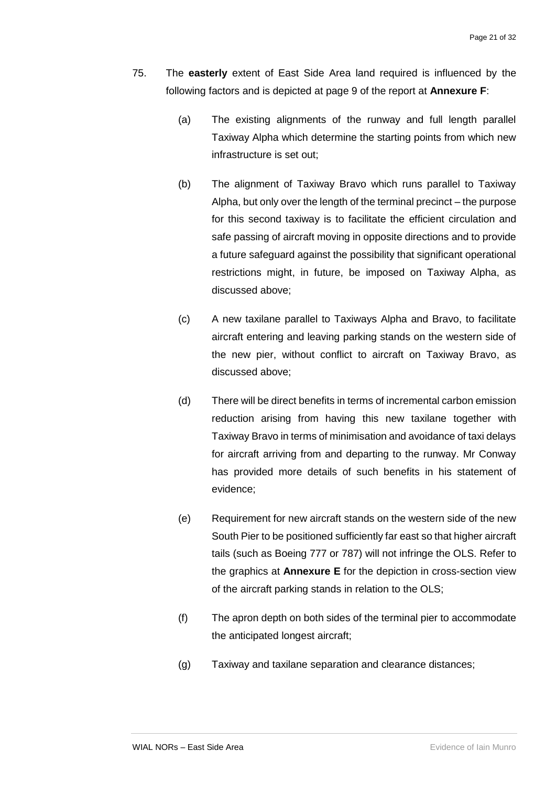- 75. The **easterly** extent of East Side Area land required is influenced by the following factors and is depicted at page 9 of the report at **Annexure F**:
	- (a) The existing alignments of the runway and full length parallel Taxiway Alpha which determine the starting points from which new infrastructure is set out;
	- (b) The alignment of Taxiway Bravo which runs parallel to Taxiway Alpha, but only over the length of the terminal precinct – the purpose for this second taxiway is to facilitate the efficient circulation and safe passing of aircraft moving in opposite directions and to provide a future safeguard against the possibility that significant operational restrictions might, in future, be imposed on Taxiway Alpha, as discussed above;
	- (c) A new taxilane parallel to Taxiways Alpha and Bravo, to facilitate aircraft entering and leaving parking stands on the western side of the new pier, without conflict to aircraft on Taxiway Bravo, as discussed above;
	- (d) There will be direct benefits in terms of incremental carbon emission reduction arising from having this new taxilane together with Taxiway Bravo in terms of minimisation and avoidance of taxi delays for aircraft arriving from and departing to the runway. Mr Conway has provided more details of such benefits in his statement of evidence;
	- (e) Requirement for new aircraft stands on the western side of the new South Pier to be positioned sufficiently far east so that higher aircraft tails (such as Boeing 777 or 787) will not infringe the OLS. Refer to the graphics at **Annexure E** for the depiction in cross-section view of the aircraft parking stands in relation to the OLS;
	- (f) The apron depth on both sides of the terminal pier to accommodate the anticipated longest aircraft;
	- (g) Taxiway and taxilane separation and clearance distances;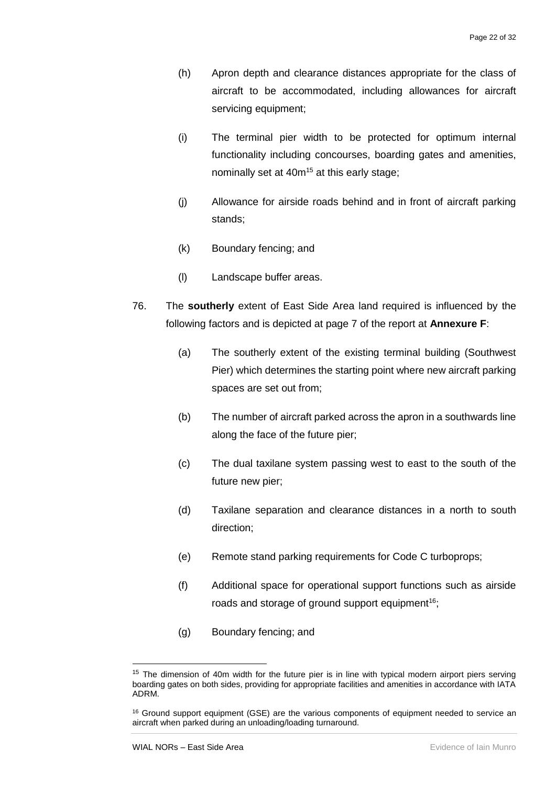- (h) Apron depth and clearance distances appropriate for the class of aircraft to be accommodated, including allowances for aircraft servicing equipment;
- (i) The terminal pier width to be protected for optimum internal functionality including concourses, boarding gates and amenities, nominally set at  $40m^{15}$  at this early stage;
- (j) Allowance for airside roads behind and in front of aircraft parking stands;
- (k) Boundary fencing; and
- (l) Landscape buffer areas.
- 76. The **southerly** extent of East Side Area land required is influenced by the following factors and is depicted at page 7 of the report at **Annexure F**:
	- (a) The southerly extent of the existing terminal building (Southwest Pier) which determines the starting point where new aircraft parking spaces are set out from;
	- (b) The number of aircraft parked across the apron in a southwards line along the face of the future pier;
	- (c) The dual taxilane system passing west to east to the south of the future new pier;
	- (d) Taxilane separation and clearance distances in a north to south direction;
	- (e) Remote stand parking requirements for Code C turboprops;
	- (f) Additional space for operational support functions such as airside roads and storage of ground support equipment<sup>16</sup>;
	- (g) Boundary fencing; and

-

<sup>&</sup>lt;sup>15</sup> The dimension of 40m width for the future pier is in line with typical modern airport piers serving boarding gates on both sides, providing for appropriate facilities and amenities in accordance with IATA ADRM.

<sup>&</sup>lt;sup>16</sup> Ground support equipment (GSE) are the various components of equipment needed to service an aircraft when parked during an unloading/loading turnaround.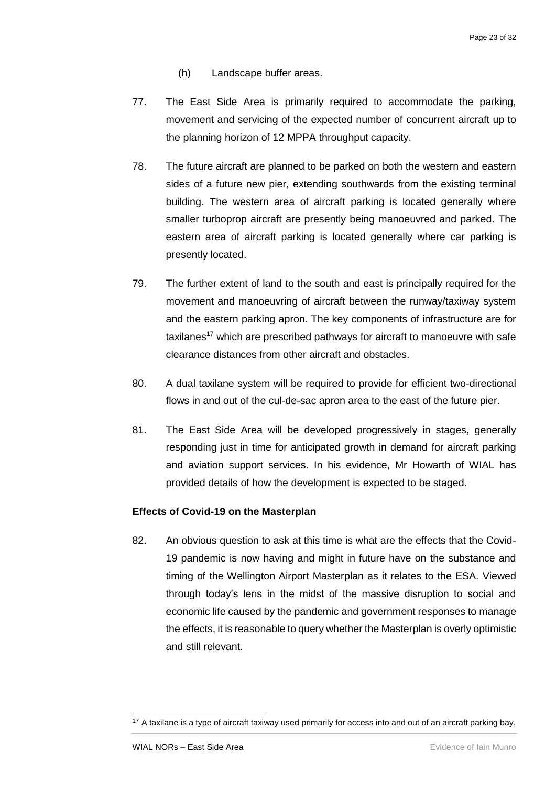- (h) Landscape buffer areas.
- 77. The East Side Area is primarily required to accommodate the parking, movement and servicing of the expected number of concurrent aircraft up to the planning horizon of 12 MPPA throughput capacity.
- 78. The future aircraft are planned to be parked on both the western and eastern sides of a future new pier, extending southwards from the existing terminal building. The western area of aircraft parking is located generally where smaller turboprop aircraft are presently being manoeuvred and parked. The eastern area of aircraft parking is located generally where car parking is presently located.
- 79. The further extent of land to the south and east is principally required for the movement and manoeuvring of aircraft between the runway/taxiway system and the eastern parking apron. The key components of infrastructure are for taxilanes<sup>17</sup> which are prescribed pathways for aircraft to manoeuvre with safe clearance distances from other aircraft and obstacles.
- 80. A dual taxilane system will be required to provide for efficient two-directional flows in and out of the cul-de-sac apron area to the east of the future pier.
- 81. The East Side Area will be developed progressively in stages, generally responding just in time for anticipated growth in demand for aircraft parking and aviation support services. In his evidence, Mr Howarth of WIAL has provided details of how the development is expected to be staged.

#### <span id="page-24-0"></span>**Effects of Covid-19 on the Masterplan**

82. An obvious question to ask at this time is what are the effects that the Covid-19 pandemic is now having and might in future have on the substance and timing of the Wellington Airport Masterplan as it relates to the ESA. Viewed through today's lens in the midst of the massive disruption to social and economic life caused by the pandemic and government responses to manage the effects, it is reasonable to query whether the Masterplan is overly optimistic and still relevant.

-

<sup>&</sup>lt;sup>17</sup> A taxilane is a type of aircraft taxiway used primarily for access into and out of an aircraft parking bay.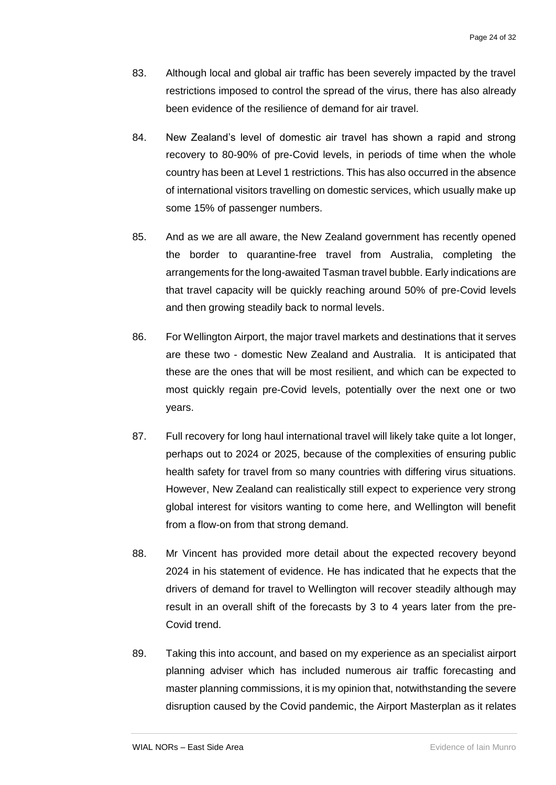- 83. Although local and global air traffic has been severely impacted by the travel restrictions imposed to control the spread of the virus, there has also already been evidence of the resilience of demand for air travel.
- 84. New Zealand's level of domestic air travel has shown a rapid and strong recovery to 80-90% of pre-Covid levels, in periods of time when the whole country has been at Level 1 restrictions. This has also occurred in the absence of international visitors travelling on domestic services, which usually make up some 15% of passenger numbers.
- 85. And as we are all aware, the New Zealand government has recently opened the border to quarantine-free travel from Australia, completing the arrangements for the long-awaited Tasman travel bubble. Early indications are that travel capacity will be quickly reaching around 50% of pre-Covid levels and then growing steadily back to normal levels.
- 86. For Wellington Airport, the major travel markets and destinations that it serves are these two - domestic New Zealand and Australia. It is anticipated that these are the ones that will be most resilient, and which can be expected to most quickly regain pre-Covid levels, potentially over the next one or two years.
- 87. Full recovery for long haul international travel will likely take quite a lot longer, perhaps out to 2024 or 2025, because of the complexities of ensuring public health safety for travel from so many countries with differing virus situations. However, New Zealand can realistically still expect to experience very strong global interest for visitors wanting to come here, and Wellington will benefit from a flow-on from that strong demand.
- 88. Mr Vincent has provided more detail about the expected recovery beyond 2024 in his statement of evidence. He has indicated that he expects that the drivers of demand for travel to Wellington will recover steadily although may result in an overall shift of the forecasts by 3 to 4 years later from the pre-Covid trend.
- 89. Taking this into account, and based on my experience as an specialist airport planning adviser which has included numerous air traffic forecasting and master planning commissions, it is my opinion that, notwithstanding the severe disruption caused by the Covid pandemic, the Airport Masterplan as it relates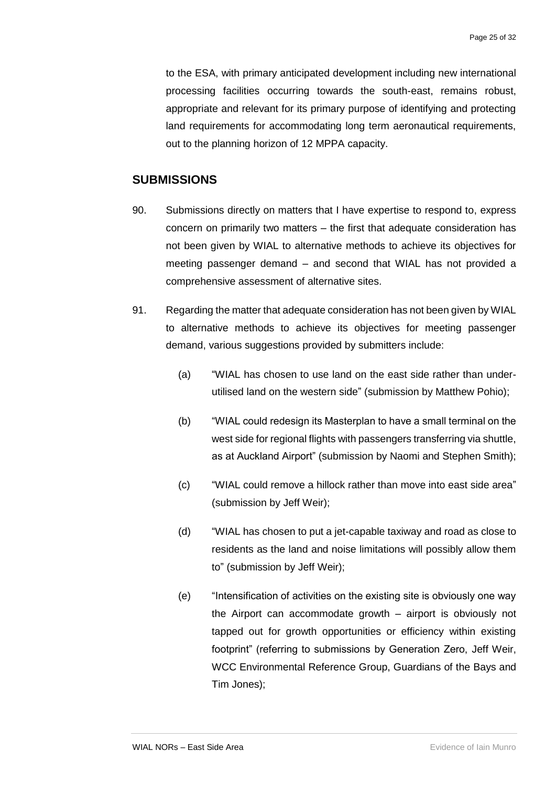to the ESA, with primary anticipated development including new international processing facilities occurring towards the south-east, remains robust, appropriate and relevant for its primary purpose of identifying and protecting land requirements for accommodating long term aeronautical requirements, out to the planning horizon of 12 MPPA capacity.

#### <span id="page-26-0"></span>**SUBMISSIONS**

- 90. Submissions directly on matters that I have expertise to respond to, express concern on primarily two matters – the first that adequate consideration has not been given by WIAL to alternative methods to achieve its objectives for meeting passenger demand – and second that WIAL has not provided a comprehensive assessment of alternative sites.
- 91. Regarding the matter that adequate consideration has not been given by WIAL to alternative methods to achieve its objectives for meeting passenger demand, various suggestions provided by submitters include:
	- (a) "WIAL has chosen to use land on the east side rather than underutilised land on the western side" (submission by Matthew Pohio);
	- (b) "WIAL could redesign its Masterplan to have a small terminal on the west side for regional flights with passengers transferring via shuttle, as at Auckland Airport" (submission by Naomi and Stephen Smith);
	- (c) "WIAL could remove a hillock rather than move into east side area" (submission by Jeff Weir);
	- (d) "WIAL has chosen to put a jet-capable taxiway and road as close to residents as the land and noise limitations will possibly allow them to" (submission by Jeff Weir);
	- (e) "Intensification of activities on the existing site is obviously one way the Airport can accommodate growth – airport is obviously not tapped out for growth opportunities or efficiency within existing footprint" (referring to submissions by Generation Zero, Jeff Weir, WCC Environmental Reference Group, Guardians of the Bays and Tim Jones);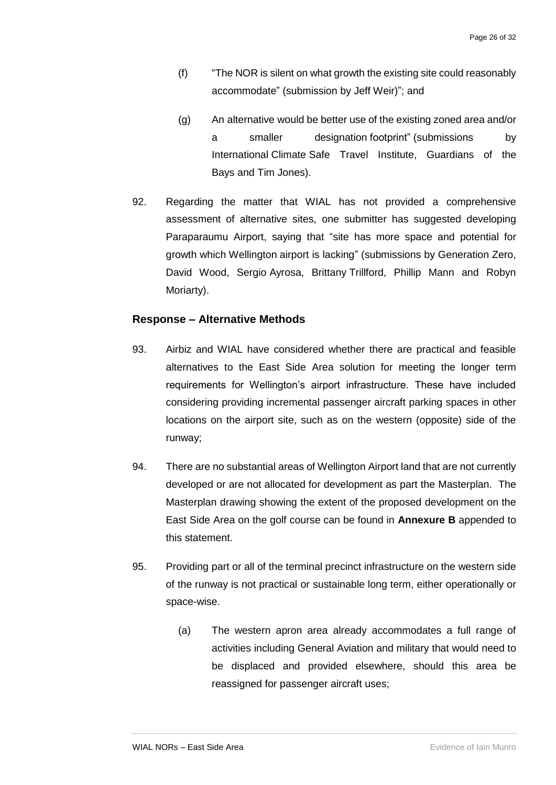- (f) "The NOR is silent on what growth the existing site could reasonably accommodate" (submission by Jeff Weir)"; and
- (g) An alternative would be better use of the existing zoned area and/or a smaller designation footprint" (submissions by International Climate Safe Travel Institute, Guardians of the Bays and Tim Jones).
- 92. Regarding the matter that WIAL has not provided a comprehensive assessment of alternative sites, one submitter has suggested developing Paraparaumu Airport, saying that "site has more space and potential for growth which Wellington airport is lacking" (submissions by Generation Zero, David Wood, Sergio Ayrosa, Brittany Trillford, Phillip Mann and Robyn Moriarty).

#### <span id="page-27-0"></span>**Response – Alternative Methods**

- 93. Airbiz and WIAL have considered whether there are practical and feasible alternatives to the East Side Area solution for meeting the longer term requirements for Wellington's airport infrastructure. These have included considering providing incremental passenger aircraft parking spaces in other locations on the airport site, such as on the western (opposite) side of the runway;
- 94. There are no substantial areas of Wellington Airport land that are not currently developed or are not allocated for development as part the Masterplan. The Masterplan drawing showing the extent of the proposed development on the East Side Area on the golf course can be found in **Annexure B** appended to this statement.
- 95. Providing part or all of the terminal precinct infrastructure on the western side of the runway is not practical or sustainable long term, either operationally or space-wise.
	- (a) The western apron area already accommodates a full range of activities including General Aviation and military that would need to be displaced and provided elsewhere, should this area be reassigned for passenger aircraft uses;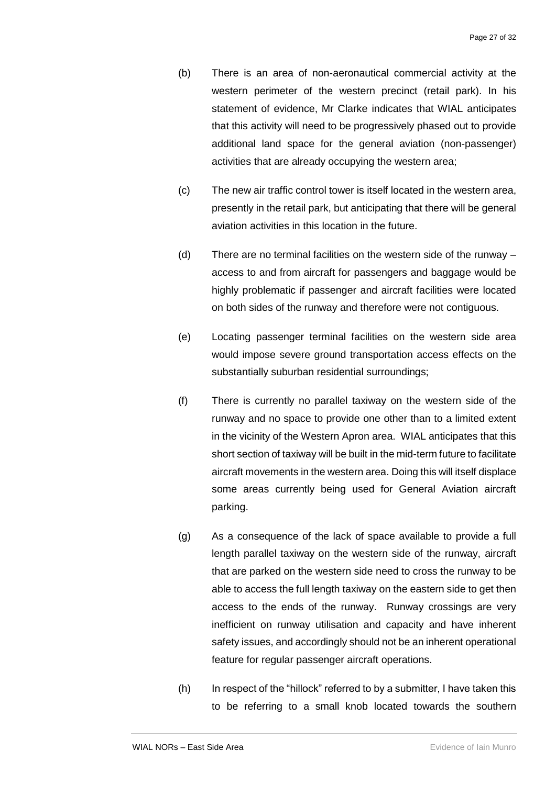- (b) There is an area of non-aeronautical commercial activity at the western perimeter of the western precinct (retail park). In his statement of evidence, Mr Clarke indicates that WIAL anticipates that this activity will need to be progressively phased out to provide additional land space for the general aviation (non-passenger) activities that are already occupying the western area;
- (c) The new air traffic control tower is itself located in the western area, presently in the retail park, but anticipating that there will be general aviation activities in this location in the future.
- (d) There are no terminal facilities on the western side of the runway access to and from aircraft for passengers and baggage would be highly problematic if passenger and aircraft facilities were located on both sides of the runway and therefore were not contiguous.
- (e) Locating passenger terminal facilities on the western side area would impose severe ground transportation access effects on the substantially suburban residential surroundings;
- (f) There is currently no parallel taxiway on the western side of the runway and no space to provide one other than to a limited extent in the vicinity of the Western Apron area. WIAL anticipates that this short section of taxiway will be built in the mid-term future to facilitate aircraft movements in the western area. Doing this will itself displace some areas currently being used for General Aviation aircraft parking.
- (g) As a consequence of the lack of space available to provide a full length parallel taxiway on the western side of the runway, aircraft that are parked on the western side need to cross the runway to be able to access the full length taxiway on the eastern side to get then access to the ends of the runway. Runway crossings are very inefficient on runway utilisation and capacity and have inherent safety issues, and accordingly should not be an inherent operational feature for regular passenger aircraft operations.
- $(h)$  In respect of the "hillock" referred to by a submitter, I have taken this to be referring to a small knob located towards the southern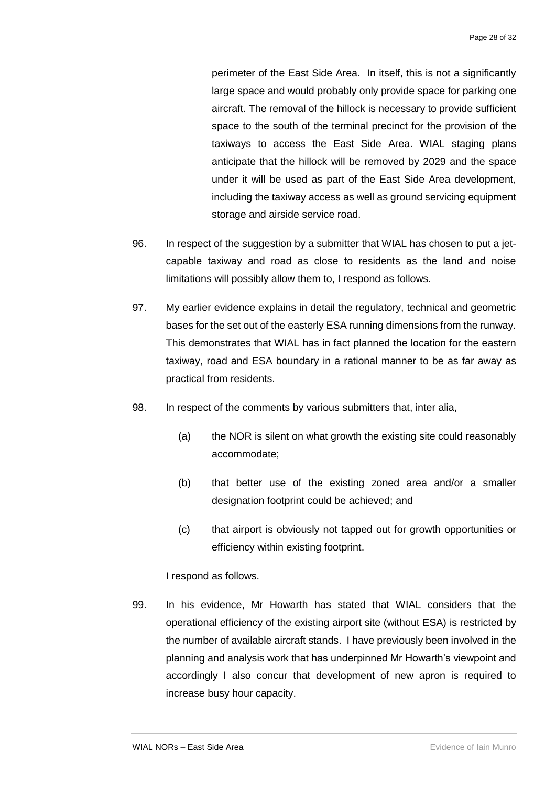perimeter of the East Side Area. In itself, this is not a significantly large space and would probably only provide space for parking one aircraft. The removal of the hillock is necessary to provide sufficient space to the south of the terminal precinct for the provision of the taxiways to access the East Side Area. WIAL staging plans anticipate that the hillock will be removed by 2029 and the space under it will be used as part of the East Side Area development, including the taxiway access as well as ground servicing equipment storage and airside service road.

- 96. In respect of the suggestion by a submitter that WIAL has chosen to put a jetcapable taxiway and road as close to residents as the land and noise limitations will possibly allow them to, I respond as follows.
- 97. My earlier evidence explains in detail the regulatory, technical and geometric bases for the set out of the easterly ESA running dimensions from the runway. This demonstrates that WIAL has in fact planned the location for the eastern taxiway, road and ESA boundary in a rational manner to be as far away as practical from residents.
- 98. In respect of the comments by various submitters that, inter alia,
	- (a) the NOR is silent on what growth the existing site could reasonably accommodate;
	- (b) that better use of the existing zoned area and/or a smaller designation footprint could be achieved; and
	- (c) that airport is obviously not tapped out for growth opportunities or efficiency within existing footprint.

I respond as follows.

99. In his evidence, Mr Howarth has stated that WIAL considers that the operational efficiency of the existing airport site (without ESA) is restricted by the number of available aircraft stands. I have previously been involved in the planning and analysis work that has underpinned Mr Howarth's viewpoint and accordingly I also concur that development of new apron is required to increase busy hour capacity.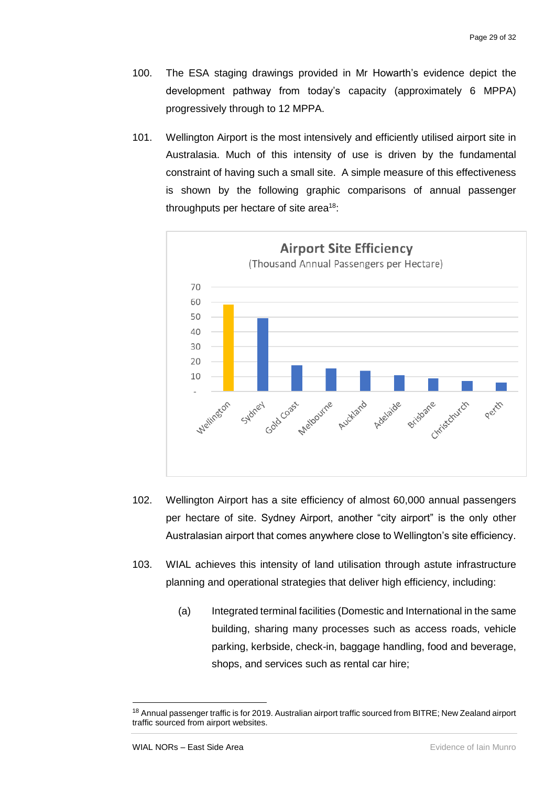- 100. The ESA staging drawings provided in Mr Howarth's evidence depict the development pathway from today's capacity (approximately 6 MPPA) progressively through to 12 MPPA.
- 101. Wellington Airport is the most intensively and efficiently utilised airport site in Australasia. Much of this intensity of use is driven by the fundamental constraint of having such a small site. A simple measure of this effectiveness is shown by the following graphic comparisons of annual passenger throughputs per hectare of site area<sup>18</sup>:



- 102. Wellington Airport has a site efficiency of almost 60,000 annual passengers per hectare of site. Sydney Airport, another "city airport" is the only other Australasian airport that comes anywhere close to Wellington's site efficiency.
- 103. WIAL achieves this intensity of land utilisation through astute infrastructure planning and operational strategies that deliver high efficiency, including:
	- (a) Integrated terminal facilities (Domestic and International in the same building, sharing many processes such as access roads, vehicle parking, kerbside, check-in, baggage handling, food and beverage, shops, and services such as rental car hire;

1

<sup>18</sup> Annual passenger traffic is for 2019. Australian airport traffic sourced from BITRE; New Zealand airport traffic sourced from airport websites.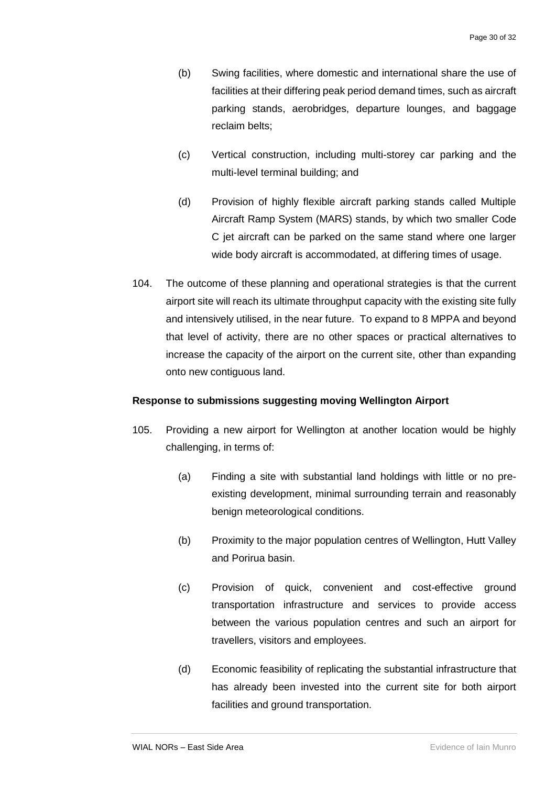- (b) Swing facilities, where domestic and international share the use of facilities at their differing peak period demand times, such as aircraft parking stands, aerobridges, departure lounges, and baggage reclaim belts;
- (c) Vertical construction, including multi-storey car parking and the multi-level terminal building; and
- (d) Provision of highly flexible aircraft parking stands called Multiple Aircraft Ramp System (MARS) stands, by which two smaller Code C jet aircraft can be parked on the same stand where one larger wide body aircraft is accommodated, at differing times of usage.
- 104. The outcome of these planning and operational strategies is that the current airport site will reach its ultimate throughput capacity with the existing site fully and intensively utilised, in the near future. To expand to 8 MPPA and beyond that level of activity, there are no other spaces or practical alternatives to increase the capacity of the airport on the current site, other than expanding onto new contiguous land.

#### <span id="page-31-0"></span>**Response to submissions suggesting moving Wellington Airport**

- 105. Providing a new airport for Wellington at another location would be highly challenging, in terms of:
	- (a) Finding a site with substantial land holdings with little or no preexisting development, minimal surrounding terrain and reasonably benign meteorological conditions.
	- (b) Proximity to the major population centres of Wellington, Hutt Valley and Porirua basin.
	- (c) Provision of quick, convenient and cost-effective ground transportation infrastructure and services to provide access between the various population centres and such an airport for travellers, visitors and employees.
	- (d) Economic feasibility of replicating the substantial infrastructure that has already been invested into the current site for both airport facilities and ground transportation.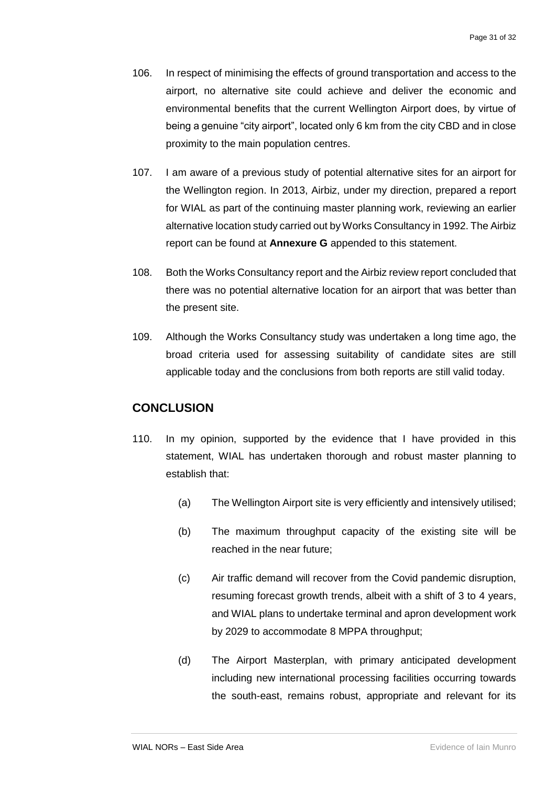- 106. In respect of minimising the effects of ground transportation and access to the airport, no alternative site could achieve and deliver the economic and environmental benefits that the current Wellington Airport does, by virtue of being a genuine "city airport", located only 6 km from the city CBD and in close proximity to the main population centres.
- 107. I am aware of a previous study of potential alternative sites for an airport for the Wellington region. In 2013, Airbiz, under my direction, prepared a report for WIAL as part of the continuing master planning work, reviewing an earlier alternative location study carried out by Works Consultancy in 1992. The Airbiz report can be found at **Annexure G** appended to this statement.
- 108. Both the Works Consultancy report and the Airbiz review report concluded that there was no potential alternative location for an airport that was better than the present site.
- 109. Although the Works Consultancy study was undertaken a long time ago, the broad criteria used for assessing suitability of candidate sites are still applicable today and the conclusions from both reports are still valid today.

#### <span id="page-32-0"></span>**CONCLUSION**

- 110. In my opinion, supported by the evidence that I have provided in this statement, WIAL has undertaken thorough and robust master planning to establish that:
	- (a) The Wellington Airport site is very efficiently and intensively utilised;
	- (b) The maximum throughput capacity of the existing site will be reached in the near future;
	- (c) Air traffic demand will recover from the Covid pandemic disruption, resuming forecast growth trends, albeit with a shift of 3 to 4 years, and WIAL plans to undertake terminal and apron development work by 2029 to accommodate 8 MPPA throughput;
	- (d) The Airport Masterplan, with primary anticipated development including new international processing facilities occurring towards the south-east, remains robust, appropriate and relevant for its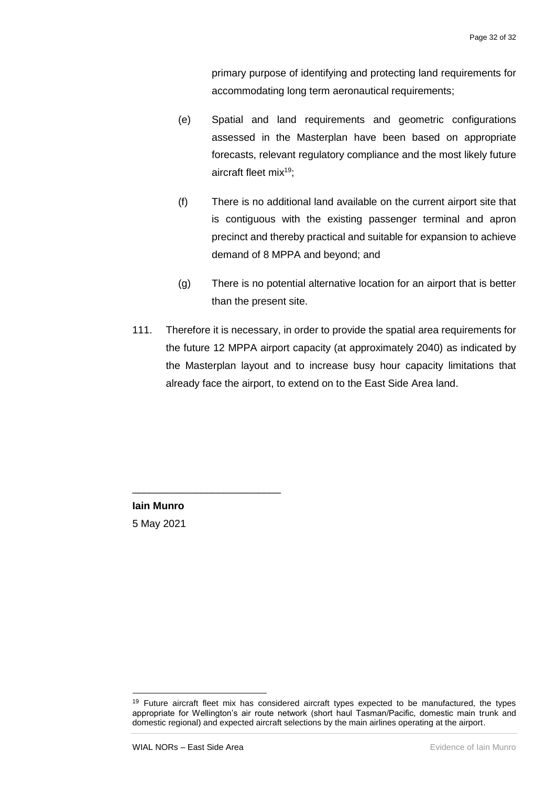primary purpose of identifying and protecting land requirements for accommodating long term aeronautical requirements;

- (e) Spatial and land requirements and geometric configurations assessed in the Masterplan have been based on appropriate forecasts, relevant regulatory compliance and the most likely future aircraft fleet mix<sup>19</sup>:
- (f) There is no additional land available on the current airport site that is contiguous with the existing passenger terminal and apron precinct and thereby practical and suitable for expansion to achieve demand of 8 MPPA and beyond; and
- (g) There is no potential alternative location for an airport that is better than the present site.
- 111. Therefore it is necessary, in order to provide the spatial area requirements for the future 12 MPPA airport capacity (at approximately 2040) as indicated by the Masterplan layout and to increase busy hour capacity limitations that already face the airport, to extend on to the East Side Area land.

**Iain Munro** 5 May 2021

-

\_\_\_\_\_\_\_\_\_\_\_\_\_\_\_\_\_\_\_\_\_\_\_\_\_\_

<sup>&</sup>lt;sup>19</sup> Future aircraft fleet mix has considered aircraft types expected to be manufactured, the types appropriate for Wellington's air route network (short haul Tasman/Pacific, domestic main trunk and domestic regional) and expected aircraft selections by the main airlines operating at the airport.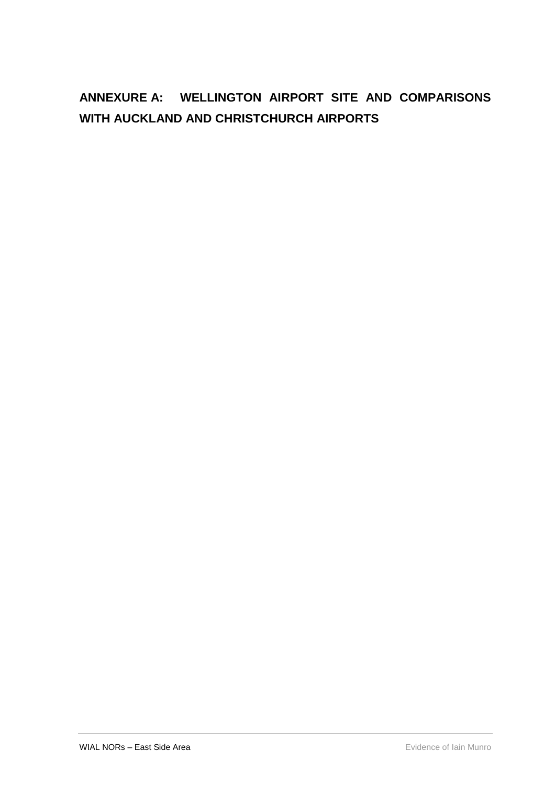# <span id="page-34-0"></span>**ANNEXURE A: WELLINGTON AIRPORT SITE AND COMPARISONS WITH AUCKLAND AND CHRISTCHURCH AIRPORTS**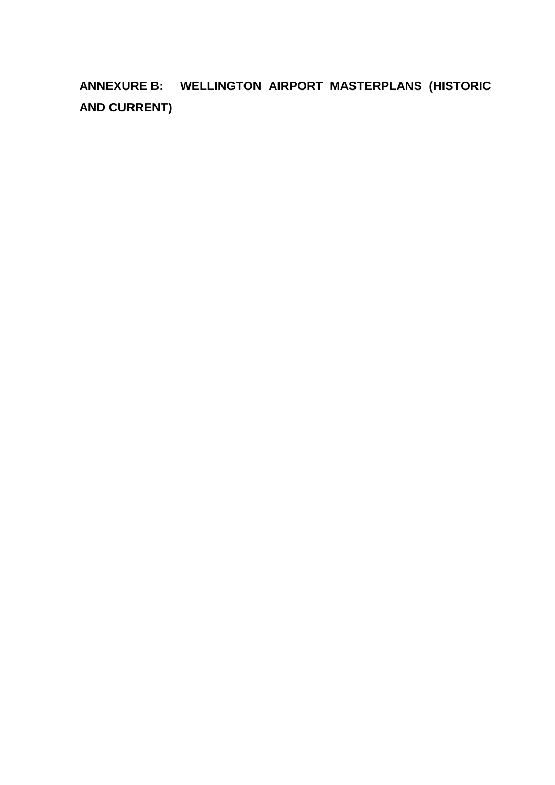<span id="page-35-0"></span>**ANNEXURE B: WELLINGTON AIRPORT MASTERPLANS (HISTORIC AND CURRENT)**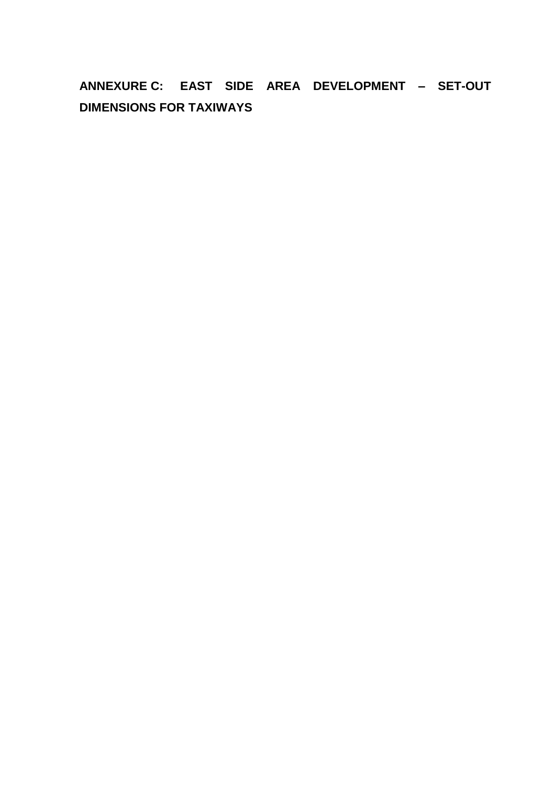# <span id="page-36-0"></span>**ANNEXURE C: EAST SIDE AREA DEVELOPMENT – SET-OUT DIMENSIONS FOR TAXIWAYS**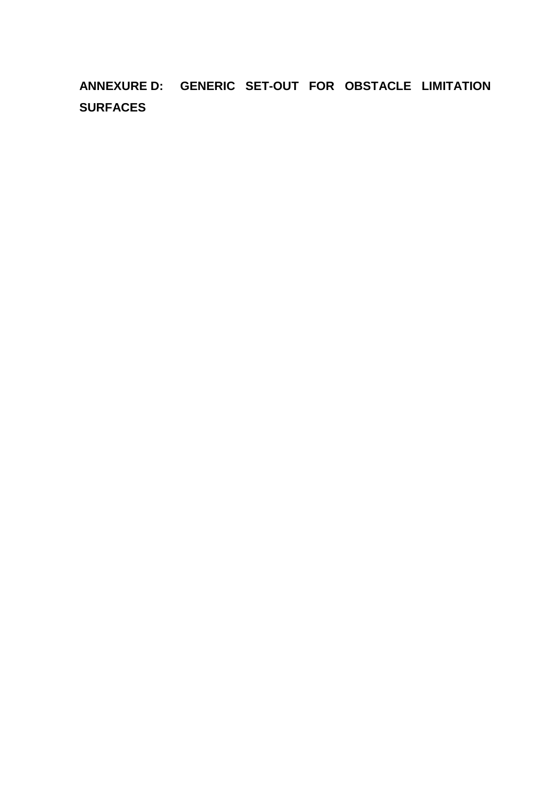<span id="page-37-0"></span>**ANNEXURE D: GENERIC SET-OUT FOR OBSTACLE LIMITATION SURFACES**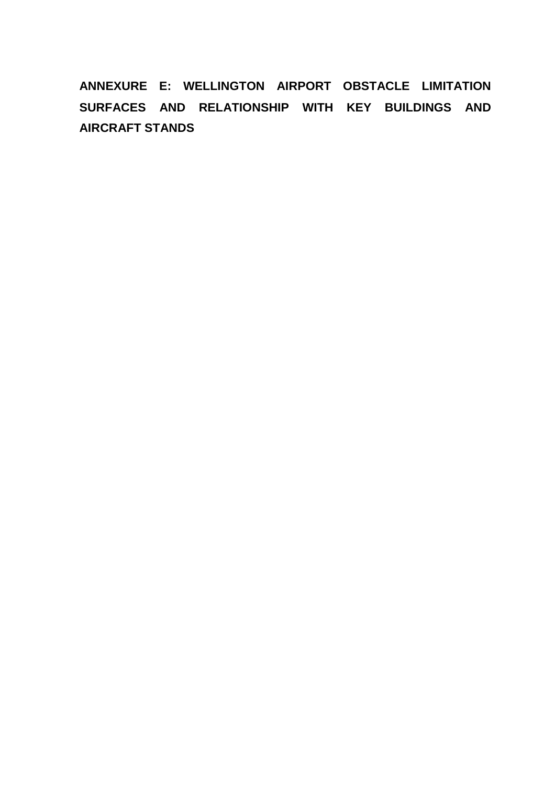<span id="page-38-0"></span>**ANNEXURE E: WELLINGTON AIRPORT OBSTACLE LIMITATION SURFACES AND RELATIONSHIP WITH KEY BUILDINGS AND AIRCRAFT STANDS**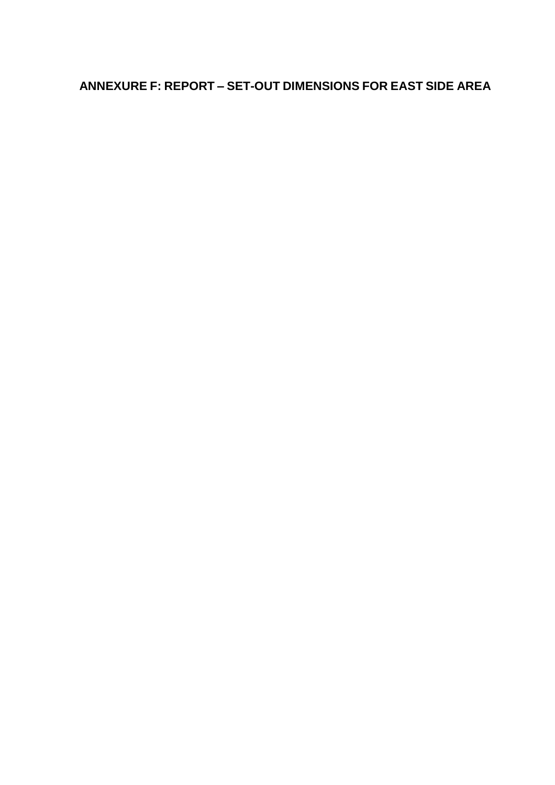# <span id="page-39-0"></span>**ANNEXURE F: REPORT – SET-OUT DIMENSIONS FOR EAST SIDE AREA**